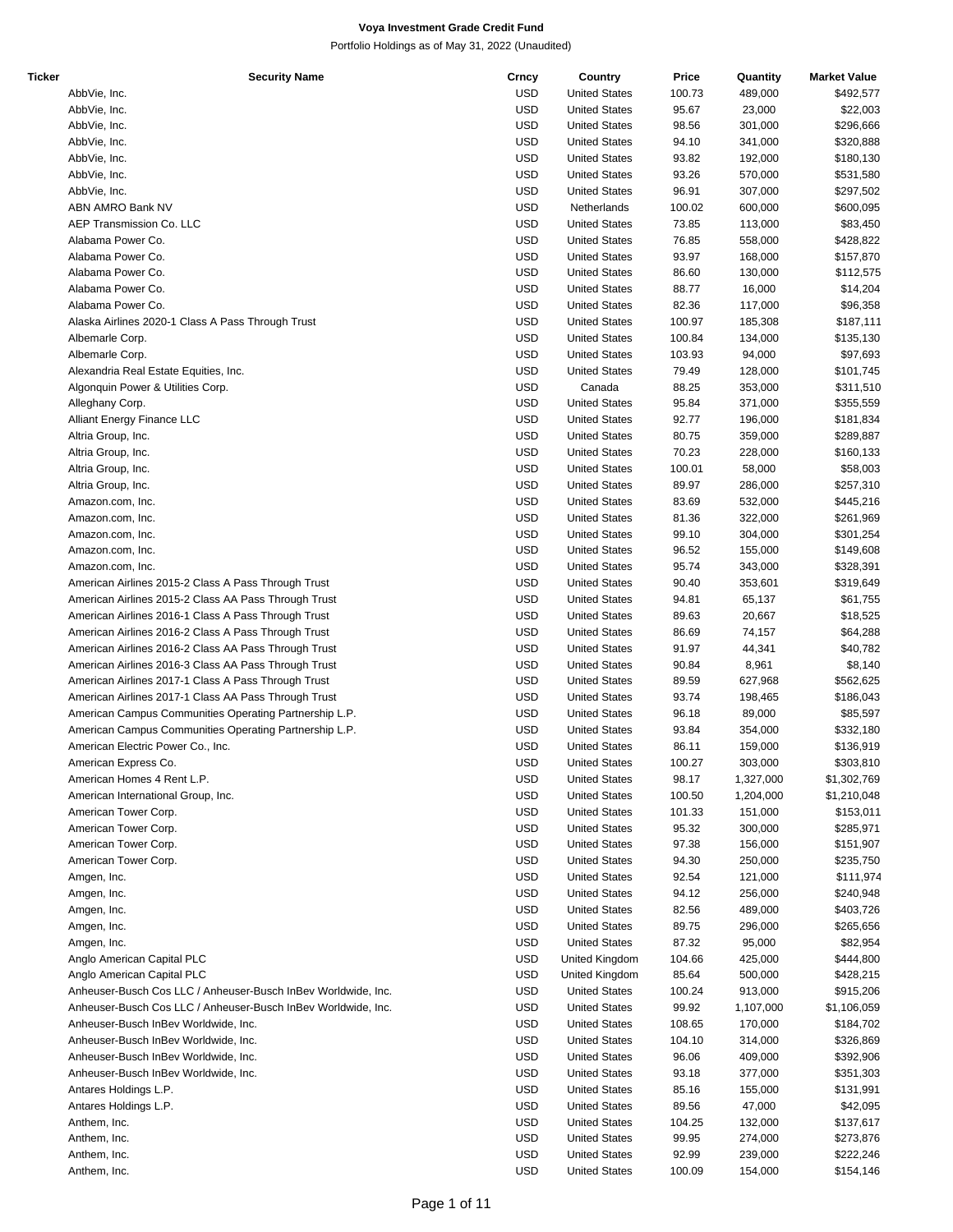| Ticker | <b>Security Name</b>                                          | Crncy      | Country              | Price  | Quantity  | <b>Market Value</b> |
|--------|---------------------------------------------------------------|------------|----------------------|--------|-----------|---------------------|
|        | AbbVie, Inc.                                                  | <b>USD</b> | <b>United States</b> | 100.73 | 489,000   | \$492,577           |
|        | AbbVie, Inc.                                                  | <b>USD</b> | <b>United States</b> | 95.67  | 23,000    | \$22,003            |
|        | AbbVie, Inc.                                                  | <b>USD</b> | <b>United States</b> | 98.56  | 301,000   | \$296,666           |
|        | AbbVie, Inc.                                                  | <b>USD</b> | <b>United States</b> | 94.10  | 341,000   | \$320,888           |
|        | AbbVie, Inc.                                                  | <b>USD</b> | <b>United States</b> | 93.82  | 192,000   | \$180,130           |
|        | AbbVie, Inc.                                                  | <b>USD</b> | <b>United States</b> | 93.26  | 570,000   | \$531,580           |
|        |                                                               | <b>USD</b> |                      | 96.91  |           |                     |
|        | AbbVie, Inc.                                                  |            | <b>United States</b> |        | 307,000   | \$297,502           |
|        | ABN AMRO Bank NV                                              | <b>USD</b> | Netherlands          | 100.02 | 600,000   | \$600,095           |
|        | AEP Transmission Co. LLC                                      | <b>USD</b> | <b>United States</b> | 73.85  | 113,000   | \$83,450            |
|        | Alabama Power Co.                                             | <b>USD</b> | <b>United States</b> | 76.85  | 558,000   | \$428,822           |
|        | Alabama Power Co.                                             | <b>USD</b> | <b>United States</b> | 93.97  | 168,000   | \$157,870           |
|        | Alabama Power Co.                                             | <b>USD</b> | <b>United States</b> | 86.60  | 130,000   | \$112,575           |
|        | Alabama Power Co.                                             | <b>USD</b> | <b>United States</b> | 88.77  | 16,000    | \$14,204            |
|        | Alabama Power Co.                                             | <b>USD</b> | <b>United States</b> | 82.36  | 117,000   | \$96,358            |
|        | Alaska Airlines 2020-1 Class A Pass Through Trust             | <b>USD</b> | <b>United States</b> | 100.97 | 185,308   | \$187,111           |
|        | Albemarle Corp.                                               | <b>USD</b> | <b>United States</b> | 100.84 | 134,000   | \$135,130           |
|        | Albemarle Corp.                                               | <b>USD</b> | <b>United States</b> | 103.93 | 94,000    | \$97,693            |
|        | Alexandria Real Estate Equities, Inc.                         | <b>USD</b> | <b>United States</b> | 79.49  | 128,000   | \$101,745           |
|        | Algonquin Power & Utilities Corp.                             | <b>USD</b> | Canada               | 88.25  | 353,000   | \$311,510           |
|        | Alleghany Corp.                                               | <b>USD</b> | <b>United States</b> | 95.84  | 371,000   | \$355,559           |
|        | Alliant Energy Finance LLC                                    | <b>USD</b> | <b>United States</b> | 92.77  | 196,000   | \$181,834           |
|        | Altria Group, Inc.                                            | <b>USD</b> | <b>United States</b> | 80.75  | 359,000   | \$289,887           |
|        |                                                               | <b>USD</b> |                      | 70.23  |           |                     |
|        | Altria Group, Inc.                                            |            | <b>United States</b> |        | 228,000   | \$160,133           |
|        | Altria Group, Inc.                                            | <b>USD</b> | <b>United States</b> | 100.01 | 58,000    | \$58,003            |
|        | Altria Group, Inc.                                            | <b>USD</b> | <b>United States</b> | 89.97  | 286,000   | \$257,310           |
|        | Amazon.com, Inc.                                              | <b>USD</b> | <b>United States</b> | 83.69  | 532,000   | \$445,216           |
|        | Amazon.com, Inc.                                              | <b>USD</b> | <b>United States</b> | 81.36  | 322,000   | \$261,969           |
|        | Amazon.com, Inc.                                              | <b>USD</b> | <b>United States</b> | 99.10  | 304,000   | \$301,254           |
|        | Amazon.com, Inc.                                              | <b>USD</b> | <b>United States</b> | 96.52  | 155,000   | \$149,608           |
|        | Amazon.com, Inc.                                              | <b>USD</b> | <b>United States</b> | 95.74  | 343,000   | \$328,391           |
|        | American Airlines 2015-2 Class A Pass Through Trust           | <b>USD</b> | <b>United States</b> | 90.40  | 353,601   | \$319,649           |
|        | American Airlines 2015-2 Class AA Pass Through Trust          | <b>USD</b> | <b>United States</b> | 94.81  | 65,137    | \$61,755            |
|        | American Airlines 2016-1 Class A Pass Through Trust           | <b>USD</b> | <b>United States</b> | 89.63  | 20,667    | \$18,525            |
|        | American Airlines 2016-2 Class A Pass Through Trust           | <b>USD</b> | <b>United States</b> | 86.69  | 74,157    | \$64,288            |
|        | American Airlines 2016-2 Class AA Pass Through Trust          | <b>USD</b> | <b>United States</b> | 91.97  | 44,341    | \$40,782            |
|        | American Airlines 2016-3 Class AA Pass Through Trust          | <b>USD</b> | <b>United States</b> | 90.84  | 8,961     | \$8,140             |
|        | American Airlines 2017-1 Class A Pass Through Trust           | <b>USD</b> | <b>United States</b> | 89.59  | 627,968   | \$562,625           |
|        | American Airlines 2017-1 Class AA Pass Through Trust          | <b>USD</b> | <b>United States</b> | 93.74  | 198,465   | \$186,043           |
|        | American Campus Communities Operating Partnership L.P.        | <b>USD</b> | <b>United States</b> | 96.18  | 89,000    | \$85,597            |
|        | American Campus Communities Operating Partnership L.P.        | <b>USD</b> |                      | 93.84  |           |                     |
|        |                                                               |            | <b>United States</b> |        | 354,000   | \$332,180           |
|        | American Electric Power Co., Inc.                             | <b>USD</b> | <b>United States</b> | 86.11  | 159,000   | \$136,919           |
|        | American Express Co.                                          | <b>USD</b> | <b>United States</b> | 100.27 | 303,000   | \$303,810           |
|        | American Homes 4 Rent L.P.                                    | <b>USD</b> | <b>United States</b> | 98.17  | 1,327,000 | \$1,302,769         |
|        | American International Group, Inc.                            | <b>USD</b> | <b>United States</b> | 100.50 | 1,204,000 | \$1,210,048         |
|        | American Tower Corp.                                          | <b>USD</b> | <b>United States</b> | 101.33 | 151,000   | \$153,011           |
|        | American Tower Corp.                                          | <b>USD</b> | <b>United States</b> | 95.32  | 300,000   | \$285,971           |
|        | American Tower Corp.                                          | <b>USD</b> | <b>United States</b> | 97.38  | 156,000   | \$151,907           |
|        | American Tower Corp.                                          | <b>USD</b> | <b>United States</b> | 94.30  | 250,000   | \$235,750           |
|        | Amgen, Inc.                                                   | <b>USD</b> | <b>United States</b> | 92.54  | 121,000   | \$111,974           |
|        | Amgen, Inc.                                                   | <b>USD</b> | <b>United States</b> | 94.12  | 256,000   | \$240,948           |
|        | Amgen, Inc.                                                   | <b>USD</b> | <b>United States</b> | 82.56  | 489,000   | \$403,726           |
|        | Amgen, Inc.                                                   | <b>USD</b> | <b>United States</b> | 89.75  | 296,000   | \$265,656           |
|        | Amgen, Inc.                                                   | <b>USD</b> | <b>United States</b> | 87.32  | 95,000    | \$82,954            |
|        | Anglo American Capital PLC                                    | <b>USD</b> | United Kingdom       | 104.66 | 425,000   | \$444,800           |
|        | Anglo American Capital PLC                                    | <b>USD</b> | United Kingdom       | 85.64  | 500,000   | \$428,215           |
|        | Anheuser-Busch Cos LLC / Anheuser-Busch InBev Worldwide, Inc. | <b>USD</b> | <b>United States</b> | 100.24 | 913,000   | \$915,206           |
|        |                                                               |            |                      |        |           |                     |
|        | Anheuser-Busch Cos LLC / Anheuser-Busch InBev Worldwide, Inc. | <b>USD</b> | <b>United States</b> | 99.92  | 1,107,000 | \$1,106,059         |
|        | Anheuser-Busch InBev Worldwide, Inc.                          | <b>USD</b> | <b>United States</b> | 108.65 | 170,000   | \$184,702           |
|        | Anheuser-Busch InBev Worldwide, Inc.                          | <b>USD</b> | <b>United States</b> | 104.10 | 314,000   | \$326,869           |
|        | Anheuser-Busch InBev Worldwide, Inc.                          | <b>USD</b> | <b>United States</b> | 96.06  | 409,000   | \$392,906           |
|        | Anheuser-Busch InBev Worldwide, Inc.                          | <b>USD</b> | <b>United States</b> | 93.18  | 377,000   | \$351,303           |
|        | Antares Holdings L.P.                                         | <b>USD</b> | <b>United States</b> | 85.16  | 155,000   | \$131,991           |
|        | Antares Holdings L.P.                                         | <b>USD</b> | <b>United States</b> | 89.56  | 47,000    | \$42,095            |
|        | Anthem, Inc.                                                  | <b>USD</b> | <b>United States</b> | 104.25 | 132,000   | \$137,617           |
|        | Anthem, Inc.                                                  | <b>USD</b> | <b>United States</b> | 99.95  | 274,000   | \$273,876           |
|        | Anthem, Inc.                                                  | <b>USD</b> | <b>United States</b> | 92.99  | 239,000   | \$222,246           |
|        | Anthem, Inc.                                                  | <b>USD</b> | <b>United States</b> | 100.09 | 154,000   | \$154,146           |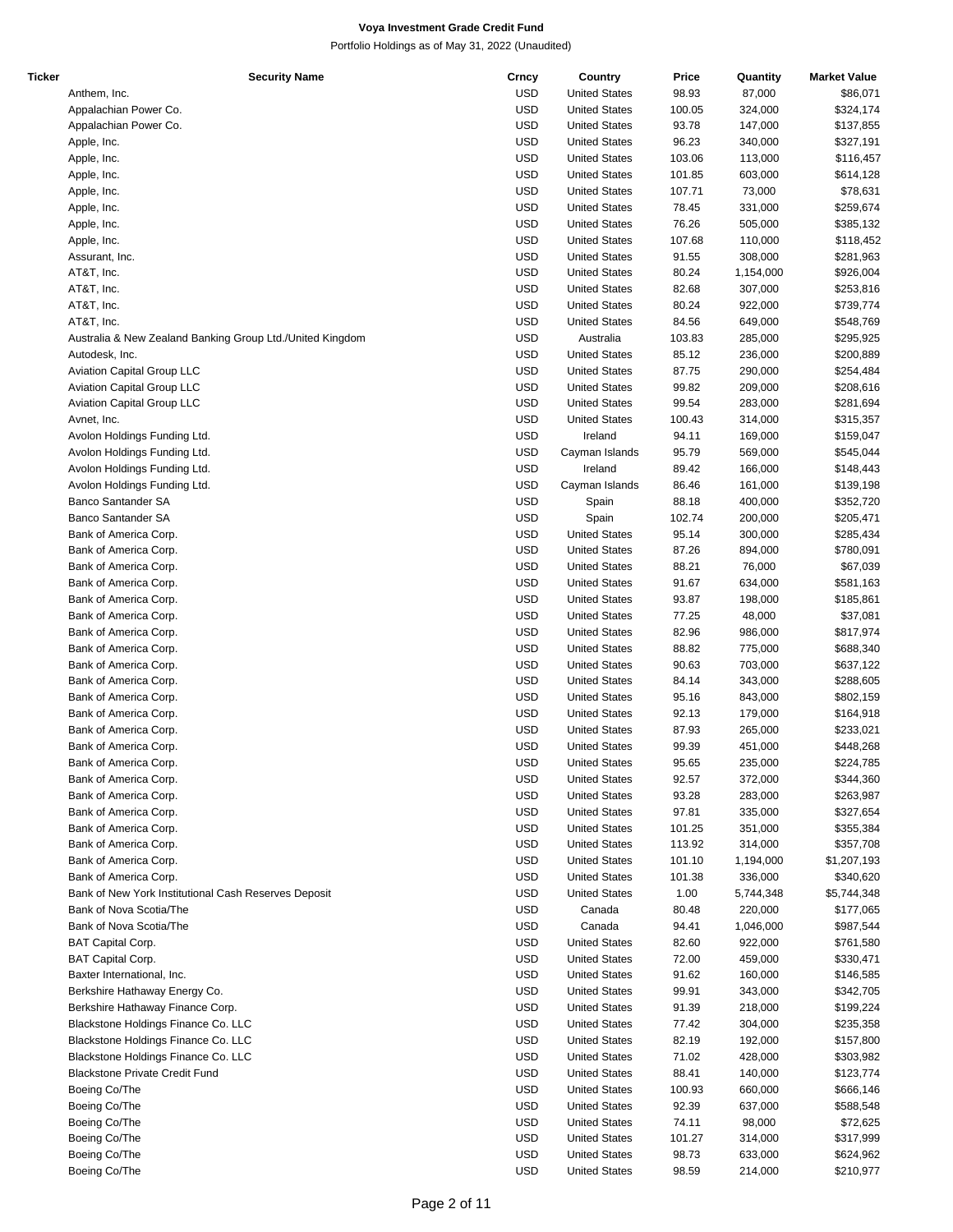| Ticker | <b>Security Name</b>                                      | Crncy      | Country              | Price  | Quantity  | <b>Market Value</b> |
|--------|-----------------------------------------------------------|------------|----------------------|--------|-----------|---------------------|
|        | Anthem, Inc.                                              | <b>USD</b> | <b>United States</b> | 98.93  | 87,000    | \$86,071            |
|        | Appalachian Power Co.                                     | <b>USD</b> | <b>United States</b> | 100.05 | 324,000   | \$324,174           |
|        | Appalachian Power Co.                                     | <b>USD</b> | <b>United States</b> | 93.78  | 147,000   | \$137,855           |
|        | Apple, Inc.                                               | <b>USD</b> | <b>United States</b> | 96.23  | 340,000   | \$327,191           |
|        |                                                           |            |                      |        |           |                     |
|        | Apple, Inc.                                               | <b>USD</b> | <b>United States</b> | 103.06 | 113,000   | \$116,457           |
|        | Apple, Inc.                                               | <b>USD</b> | <b>United States</b> | 101.85 | 603,000   | \$614,128           |
|        | Apple, Inc.                                               | <b>USD</b> | <b>United States</b> | 107.71 | 73,000    | \$78,631            |
|        | Apple, Inc.                                               | <b>USD</b> | <b>United States</b> | 78.45  | 331,000   | \$259,674           |
|        | Apple, Inc.                                               | <b>USD</b> | <b>United States</b> | 76.26  | 505,000   | \$385,132           |
|        | Apple, Inc.                                               | <b>USD</b> | <b>United States</b> | 107.68 | 110,000   | \$118,452           |
|        | Assurant, Inc.                                            | <b>USD</b> | <b>United States</b> | 91.55  | 308,000   | \$281,963           |
|        | AT&T, Inc.                                                | <b>USD</b> | <b>United States</b> | 80.24  | 1,154,000 | \$926,004           |
|        |                                                           |            |                      |        |           |                     |
|        | AT&T, Inc.                                                | <b>USD</b> | <b>United States</b> | 82.68  | 307,000   | \$253,816           |
|        | AT&T, Inc.                                                | <b>USD</b> | <b>United States</b> | 80.24  | 922,000   | \$739,774           |
|        | AT&T, Inc.                                                | <b>USD</b> | <b>United States</b> | 84.56  | 649,000   | \$548,769           |
|        | Australia & New Zealand Banking Group Ltd./United Kingdom | <b>USD</b> | Australia            | 103.83 | 285,000   | \$295,925           |
|        | Autodesk, Inc.                                            | <b>USD</b> | <b>United States</b> | 85.12  | 236,000   | \$200,889           |
|        | Aviation Capital Group LLC                                | <b>USD</b> | <b>United States</b> | 87.75  | 290,000   | \$254,484           |
|        | <b>Aviation Capital Group LLC</b>                         | <b>USD</b> | <b>United States</b> | 99.82  | 209,000   | \$208,616           |
|        | Aviation Capital Group LLC                                | <b>USD</b> | <b>United States</b> | 99.54  | 283,000   | \$281,694           |
|        | Avnet, Inc.                                               | <b>USD</b> | <b>United States</b> | 100.43 | 314,000   | \$315,357           |
|        |                                                           |            |                      |        |           |                     |
|        | Avolon Holdings Funding Ltd.                              | <b>USD</b> | Ireland              | 94.11  | 169,000   | \$159,047           |
|        | Avolon Holdings Funding Ltd.                              | <b>USD</b> | Cayman Islands       | 95.79  | 569,000   | \$545,044           |
|        | Avolon Holdings Funding Ltd.                              | <b>USD</b> | Ireland              | 89.42  | 166,000   | \$148,443           |
|        | Avolon Holdings Funding Ltd.                              | <b>USD</b> | Cayman Islands       | 86.46  | 161,000   | \$139,198           |
|        | Banco Santander SA                                        | <b>USD</b> | Spain                | 88.18  | 400,000   | \$352,720           |
|        | Banco Santander SA                                        | <b>USD</b> | Spain                | 102.74 | 200,000   | \$205,471           |
|        | Bank of America Corp.                                     | <b>USD</b> | <b>United States</b> | 95.14  | 300,000   | \$285,434           |
|        | Bank of America Corp.                                     | <b>USD</b> | <b>United States</b> | 87.26  | 894,000   | \$780,091           |
|        |                                                           |            |                      |        |           |                     |
|        | Bank of America Corp.                                     | <b>USD</b> | <b>United States</b> | 88.21  | 76,000    | \$67,039            |
|        | Bank of America Corp.                                     | <b>USD</b> | <b>United States</b> | 91.67  | 634,000   | \$581,163           |
|        | Bank of America Corp.                                     | <b>USD</b> | <b>United States</b> | 93.87  | 198,000   | \$185,861           |
|        | Bank of America Corp.                                     | <b>USD</b> | <b>United States</b> | 77.25  | 48,000    | \$37,081            |
|        | Bank of America Corp.                                     | <b>USD</b> | <b>United States</b> | 82.96  | 986,000   | \$817,974           |
|        | Bank of America Corp.                                     | <b>USD</b> | <b>United States</b> | 88.82  | 775,000   | \$688,340           |
|        | Bank of America Corp.                                     | <b>USD</b> | <b>United States</b> | 90.63  | 703,000   | \$637,122           |
|        | Bank of America Corp.                                     | <b>USD</b> | <b>United States</b> | 84.14  | 343,000   | \$288,605           |
|        |                                                           | <b>USD</b> |                      |        |           |                     |
|        | Bank of America Corp.                                     |            | <b>United States</b> | 95.16  | 843,000   | \$802,159           |
|        | Bank of America Corp.                                     | <b>USD</b> | <b>United States</b> | 92.13  | 179,000   | \$164,918           |
|        | Bank of America Corp.                                     | <b>USD</b> | <b>United States</b> | 87.93  | 265,000   | \$233,021           |
|        | Bank of America Corp.                                     | <b>USD</b> | <b>United States</b> | 99.39  | 451,000   | \$448,268           |
|        | Bank of America Corp.                                     | <b>USD</b> | <b>United States</b> | 95.65  | 235.000   | \$224,785           |
|        | Bank of America Corp.                                     | <b>USD</b> | <b>United States</b> | 92.57  | 372,000   | \$344,360           |
|        | Bank of America Corp.                                     | <b>USD</b> | <b>United States</b> | 93.28  | 283,000   | \$263,987           |
|        | Bank of America Corp.                                     | <b>USD</b> | <b>United States</b> | 97.81  | 335,000   | \$327,654           |
|        | Bank of America Corp.                                     | <b>USD</b> | <b>United States</b> | 101.25 | 351,000   | \$355,384           |
|        |                                                           |            |                      |        |           |                     |
|        | Bank of America Corp.                                     | <b>USD</b> | <b>United States</b> | 113.92 | 314,000   | \$357,708           |
|        | Bank of America Corp.                                     | <b>USD</b> | <b>United States</b> | 101.10 | 1,194,000 | \$1,207,193         |
|        | Bank of America Corp.                                     | <b>USD</b> | <b>United States</b> | 101.38 | 336,000   | \$340,620           |
|        | Bank of New York Institutional Cash Reserves Deposit      | <b>USD</b> | <b>United States</b> | 1.00   | 5,744,348 | \$5,744,348         |
|        | Bank of Nova Scotia/The                                   | <b>USD</b> | Canada               | 80.48  | 220,000   | \$177,065           |
|        | Bank of Nova Scotia/The                                   | <b>USD</b> | Canada               | 94.41  | 1,046,000 | \$987,544           |
|        | <b>BAT Capital Corp.</b>                                  | <b>USD</b> | <b>United States</b> | 82.60  | 922,000   | \$761,580           |
|        | <b>BAT Capital Corp.</b>                                  | <b>USD</b> | <b>United States</b> | 72.00  | 459,000   | \$330,471           |
|        |                                                           | <b>USD</b> |                      |        |           |                     |
|        | Baxter International, Inc.                                |            | <b>United States</b> | 91.62  | 160,000   | \$146,585           |
|        | Berkshire Hathaway Energy Co.                             | <b>USD</b> | <b>United States</b> | 99.91  | 343,000   | \$342,705           |
|        | Berkshire Hathaway Finance Corp.                          | <b>USD</b> | <b>United States</b> | 91.39  | 218,000   | \$199,224           |
|        | Blackstone Holdings Finance Co. LLC                       | <b>USD</b> | <b>United States</b> | 77.42  | 304,000   | \$235,358           |
|        | Blackstone Holdings Finance Co. LLC                       | <b>USD</b> | <b>United States</b> | 82.19  | 192,000   | \$157,800           |
|        | Blackstone Holdings Finance Co. LLC                       | <b>USD</b> | <b>United States</b> | 71.02  | 428,000   | \$303,982           |
|        | <b>Blackstone Private Credit Fund</b>                     | USD        | <b>United States</b> | 88.41  | 140,000   | \$123,774           |
|        | Boeing Co/The                                             | USD        | <b>United States</b> | 100.93 | 660,000   | \$666,146           |
|        |                                                           | <b>USD</b> | <b>United States</b> |        | 637,000   |                     |
|        | Boeing Co/The                                             |            |                      | 92.39  |           | \$588,548           |
|        | Boeing Co/The                                             | <b>USD</b> | <b>United States</b> | 74.11  | 98,000    | \$72,625            |
|        | Boeing Co/The                                             | USD        | <b>United States</b> | 101.27 | 314,000   | \$317,999           |
|        | Boeing Co/The                                             | <b>USD</b> | <b>United States</b> | 98.73  | 633,000   | \$624,962           |
|        | Boeing Co/The                                             | <b>USD</b> | <b>United States</b> | 98.59  | 214,000   | \$210,977           |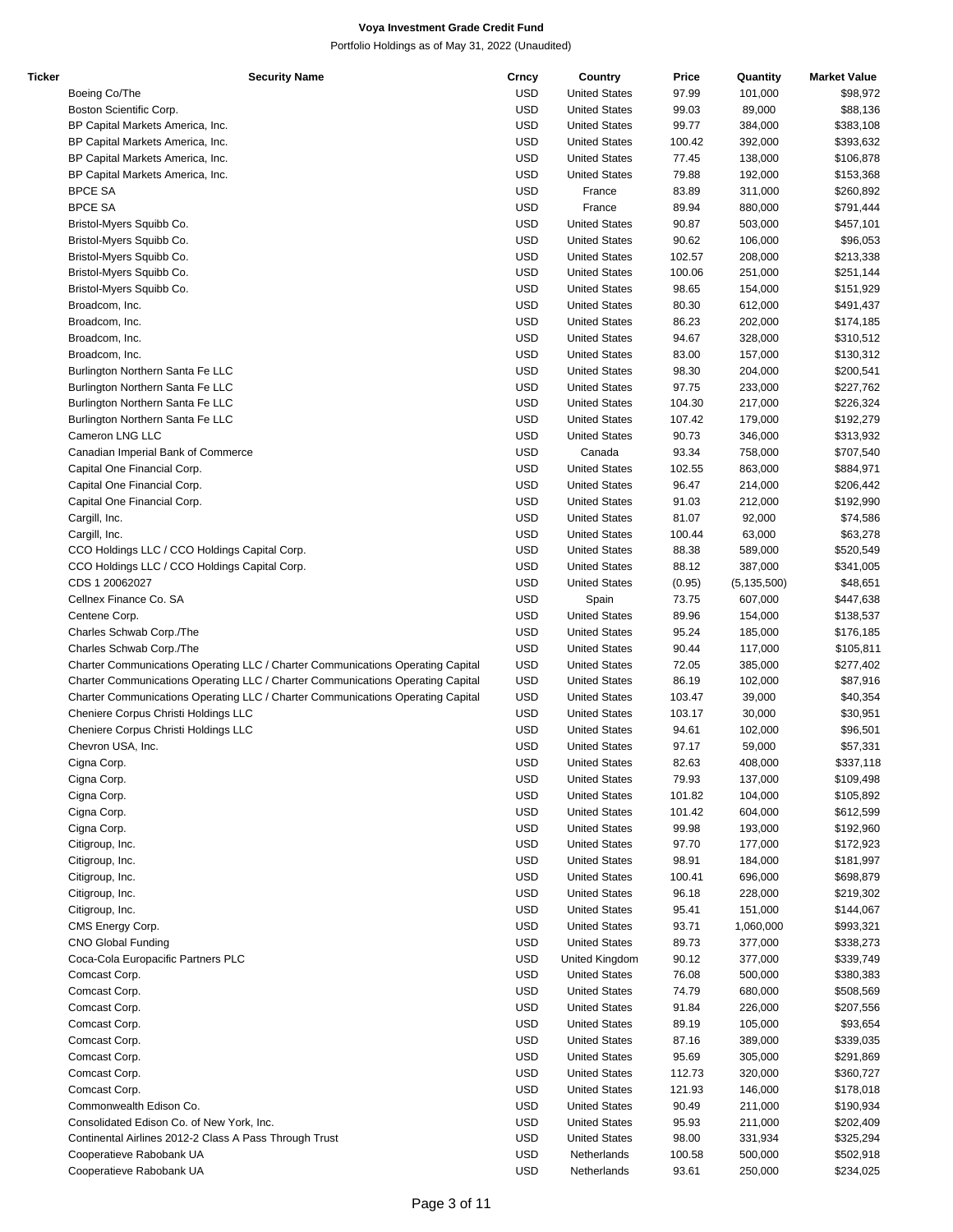| Ticker | <b>Security Name</b>                                                            | Crncy      | Country              | Price  | Quantity      | <b>Market Value</b> |
|--------|---------------------------------------------------------------------------------|------------|----------------------|--------|---------------|---------------------|
|        | Boeing Co/The                                                                   | <b>USD</b> | <b>United States</b> | 97.99  | 101,000       | \$98,972            |
|        | Boston Scientific Corp.                                                         | <b>USD</b> | <b>United States</b> | 99.03  | 89,000        | \$88,136            |
|        | BP Capital Markets America, Inc.                                                | <b>USD</b> | <b>United States</b> | 99.77  | 384,000       | \$383,108           |
|        | BP Capital Markets America, Inc.                                                | <b>USD</b> | <b>United States</b> | 100.42 | 392,000       | \$393,632           |
|        |                                                                                 |            |                      |        |               |                     |
|        | BP Capital Markets America, Inc.                                                | <b>USD</b> | <b>United States</b> | 77.45  | 138,000       | \$106,878           |
|        | BP Capital Markets America, Inc.                                                | <b>USD</b> | <b>United States</b> | 79.88  | 192,000       | \$153,368           |
|        | <b>BPCE SA</b>                                                                  | <b>USD</b> | France               | 83.89  | 311,000       | \$260,892           |
|        | <b>BPCE SA</b>                                                                  | <b>USD</b> | France               | 89.94  | 880,000       | \$791,444           |
|        | Bristol-Myers Squibb Co.                                                        | <b>USD</b> | <b>United States</b> | 90.87  | 503,000       | \$457,101           |
|        | Bristol-Myers Squibb Co.                                                        | <b>USD</b> | <b>United States</b> | 90.62  | 106,000       | \$96,053            |
|        | Bristol-Myers Squibb Co.                                                        | <b>USD</b> | <b>United States</b> | 102.57 | 208,000       | \$213,338           |
|        | Bristol-Myers Squibb Co.                                                        | <b>USD</b> | <b>United States</b> | 100.06 | 251,000       | \$251,144           |
|        |                                                                                 | <b>USD</b> | <b>United States</b> | 98.65  |               |                     |
|        | Bristol-Myers Squibb Co.                                                        |            |                      |        | 154,000       | \$151,929           |
|        | Broadcom, Inc.                                                                  | <b>USD</b> | <b>United States</b> | 80.30  | 612,000       | \$491,437           |
|        | Broadcom, Inc.                                                                  | <b>USD</b> | <b>United States</b> | 86.23  | 202,000       | \$174,185           |
|        | Broadcom, Inc.                                                                  | <b>USD</b> | <b>United States</b> | 94.67  | 328,000       | \$310,512           |
|        | Broadcom, Inc.                                                                  | <b>USD</b> | <b>United States</b> | 83.00  | 157,000       | \$130,312           |
|        | Burlington Northern Santa Fe LLC                                                | <b>USD</b> | <b>United States</b> | 98.30  | 204,000       | \$200,541           |
|        | Burlington Northern Santa Fe LLC                                                | <b>USD</b> | <b>United States</b> | 97.75  | 233,000       | \$227,762           |
|        | Burlington Northern Santa Fe LLC                                                | <b>USD</b> | <b>United States</b> | 104.30 | 217,000       | \$226,324           |
|        | Burlington Northern Santa Fe LLC                                                | <b>USD</b> | <b>United States</b> | 107.42 |               |                     |
|        |                                                                                 |            |                      |        | 179,000       | \$192,279           |
|        | Cameron LNG LLC                                                                 | <b>USD</b> | <b>United States</b> | 90.73  | 346,000       | \$313,932           |
|        | Canadian Imperial Bank of Commerce                                              | <b>USD</b> | Canada               | 93.34  | 758,000       | \$707,540           |
|        | Capital One Financial Corp.                                                     | <b>USD</b> | <b>United States</b> | 102.55 | 863,000       | \$884,971           |
|        | Capital One Financial Corp.                                                     | <b>USD</b> | <b>United States</b> | 96.47  | 214,000       | \$206,442           |
|        | Capital One Financial Corp.                                                     | <b>USD</b> | <b>United States</b> | 91.03  | 212,000       | \$192,990           |
|        | Cargill, Inc.                                                                   | <b>USD</b> | <b>United States</b> | 81.07  | 92,000        | \$74,586            |
|        | Cargill, Inc.                                                                   | <b>USD</b> | <b>United States</b> | 100.44 | 63,000        | \$63,278            |
|        |                                                                                 |            |                      |        |               |                     |
|        | CCO Holdings LLC / CCO Holdings Capital Corp.                                   | <b>USD</b> | <b>United States</b> | 88.38  | 589,000       | \$520,549           |
|        | CCO Holdings LLC / CCO Holdings Capital Corp.                                   | <b>USD</b> | <b>United States</b> | 88.12  | 387,000       | \$341,005           |
|        | CDS 1 20062027                                                                  | <b>USD</b> | <b>United States</b> | (0.95) | (5, 135, 500) | \$48,651            |
|        | Cellnex Finance Co. SA                                                          | <b>USD</b> | Spain                | 73.75  | 607,000       | \$447,638           |
|        | Centene Corp.                                                                   | <b>USD</b> | <b>United States</b> | 89.96  | 154,000       | \$138,537           |
|        | Charles Schwab Corp./The                                                        | <b>USD</b> | <b>United States</b> | 95.24  | 185,000       | \$176,185           |
|        | Charles Schwab Corp./The                                                        | <b>USD</b> | <b>United States</b> | 90.44  | 117,000       | \$105,811           |
|        | Charter Communications Operating LLC / Charter Communications Operating Capital | <b>USD</b> | <b>United States</b> | 72.05  | 385,000       | \$277,402           |
|        |                                                                                 | <b>USD</b> |                      |        |               |                     |
|        | Charter Communications Operating LLC / Charter Communications Operating Capital |            | <b>United States</b> | 86.19  | 102,000       | \$87,916            |
|        | Charter Communications Operating LLC / Charter Communications Operating Capital | <b>USD</b> | <b>United States</b> | 103.47 | 39,000        | \$40,354            |
|        | Cheniere Corpus Christi Holdings LLC                                            | <b>USD</b> | <b>United States</b> | 103.17 | 30,000        | \$30,951            |
|        | Cheniere Corpus Christi Holdings LLC                                            | <b>USD</b> | <b>United States</b> | 94.61  | 102,000       | \$96,501            |
|        | Chevron USA, Inc.                                                               | <b>USD</b> | <b>United States</b> | 97.17  | 59,000        | \$57,331            |
|        | Cigna Corp.                                                                     | <b>USD</b> | <b>United States</b> | 82.63  | 408,000       | \$337,118           |
|        | Cigna Corp.                                                                     | <b>USD</b> | <b>United States</b> | 79.93  | 137,000       | \$109,498           |
|        | Cigna Corp.                                                                     | <b>USD</b> | <b>United States</b> | 101.82 | 104,000       | \$105,892           |
|        | Cigna Corp.                                                                     | <b>USD</b> | <b>United States</b> | 101.42 | 604,000       | \$612,599           |
|        |                                                                                 |            |                      |        |               |                     |
|        | Cigna Corp.                                                                     | <b>USD</b> | <b>United States</b> | 99.98  | 193,000       | \$192,960           |
|        | Citigroup, Inc.                                                                 | <b>USD</b> | <b>United States</b> | 97.70  | 177,000       | \$172,923           |
|        | Citigroup, Inc.                                                                 | <b>USD</b> | <b>United States</b> | 98.91  | 184,000       | \$181,997           |
|        | Citigroup, Inc.                                                                 | <b>USD</b> | <b>United States</b> | 100.41 | 696,000       | \$698,879           |
|        | Citigroup, Inc.                                                                 | <b>USD</b> | <b>United States</b> | 96.18  | 228,000       | \$219,302           |
|        | Citigroup, Inc.                                                                 | <b>USD</b> | <b>United States</b> | 95.41  | 151,000       | \$144,067           |
|        | CMS Energy Corp.                                                                | <b>USD</b> | <b>United States</b> | 93.71  | 1,060,000     | \$993,321           |
|        | <b>CNO Global Funding</b>                                                       | <b>USD</b> | <b>United States</b> | 89.73  | 377,000       | \$338,273           |
|        |                                                                                 |            |                      |        |               |                     |
|        | Coca-Cola Europacific Partners PLC                                              | <b>USD</b> | United Kingdom       | 90.12  | 377,000       | \$339,749           |
|        | Comcast Corp.                                                                   | <b>USD</b> | <b>United States</b> | 76.08  | 500,000       | \$380,383           |
|        | Comcast Corp.                                                                   | <b>USD</b> | <b>United States</b> | 74.79  | 680,000       | \$508,569           |
|        | Comcast Corp.                                                                   | <b>USD</b> | <b>United States</b> | 91.84  | 226,000       | \$207,556           |
|        | Comcast Corp.                                                                   | <b>USD</b> | <b>United States</b> | 89.19  | 105,000       | \$93,654            |
|        | Comcast Corp.                                                                   | <b>USD</b> | <b>United States</b> | 87.16  | 389,000       | \$339,035           |
|        | Comcast Corp.                                                                   | <b>USD</b> | <b>United States</b> | 95.69  | 305,000       | \$291,869           |
|        | Comcast Corp.                                                                   | <b>USD</b> | <b>United States</b> | 112.73 | 320,000       | \$360,727           |
|        |                                                                                 |            |                      |        |               |                     |
|        | Comcast Corp.                                                                   | <b>USD</b> | <b>United States</b> | 121.93 | 146,000       | \$178,018           |
|        | Commonwealth Edison Co.                                                         | <b>USD</b> | <b>United States</b> | 90.49  | 211,000       | \$190,934           |
|        | Consolidated Edison Co. of New York, Inc.                                       | <b>USD</b> | <b>United States</b> | 95.93  | 211,000       | \$202,409           |
|        | Continental Airlines 2012-2 Class A Pass Through Trust                          | <b>USD</b> | <b>United States</b> | 98.00  | 331,934       | \$325,294           |
|        | Cooperatieve Rabobank UA                                                        | <b>USD</b> | Netherlands          | 100.58 | 500,000       | \$502,918           |
|        | Cooperatieve Rabobank UA                                                        | <b>USD</b> | Netherlands          | 93.61  | 250,000       | \$234,025           |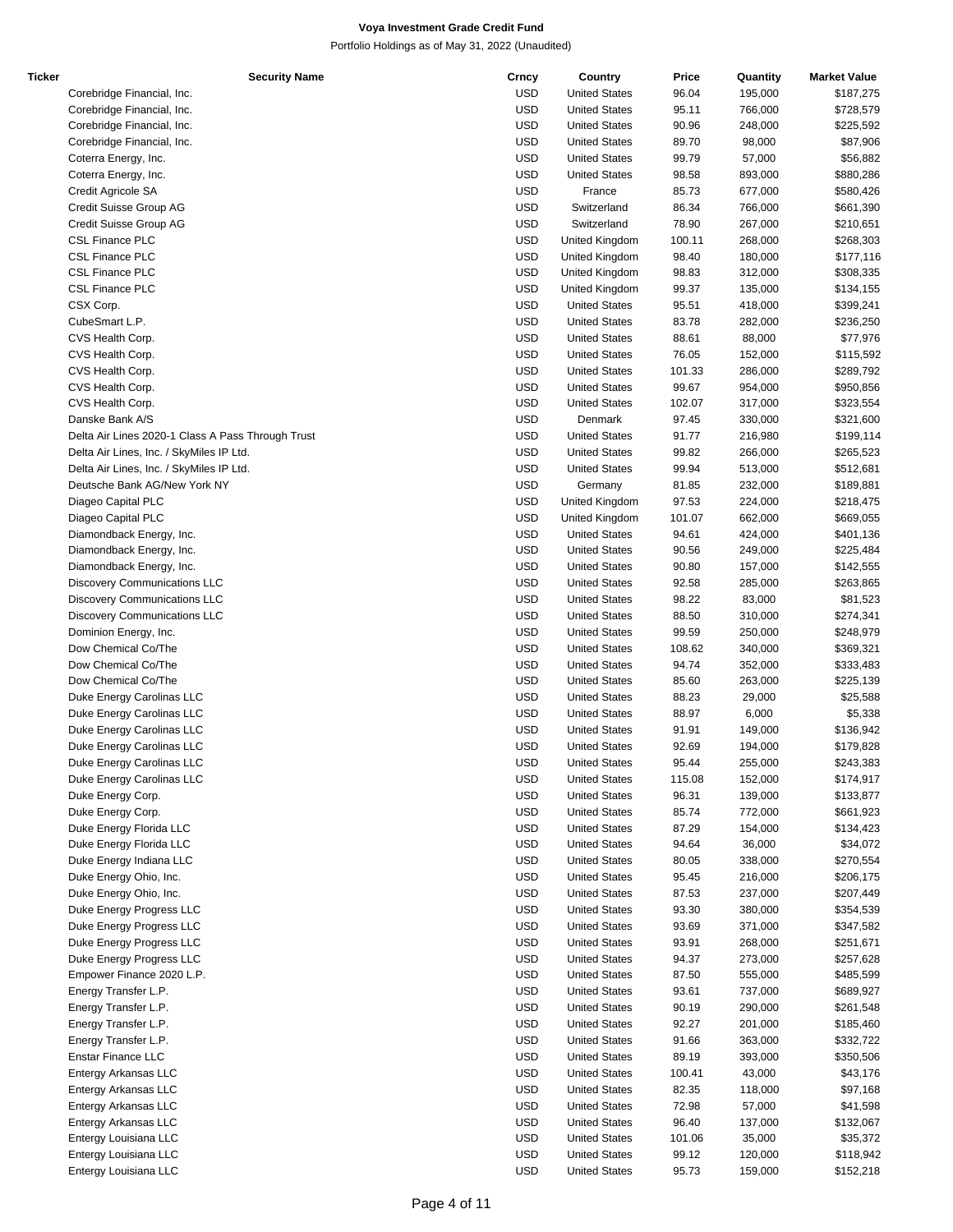| Ticker | <b>Security Name</b>                              | Crncy      | Country              | Price  | Quantity | <b>Market Value</b> |
|--------|---------------------------------------------------|------------|----------------------|--------|----------|---------------------|
|        | Corebridge Financial, Inc.                        | <b>USD</b> | <b>United States</b> | 96.04  | 195,000  | \$187,275           |
|        | Corebridge Financial, Inc.                        | <b>USD</b> | <b>United States</b> | 95.11  | 766,000  | \$728,579           |
|        | Corebridge Financial, Inc.                        | <b>USD</b> | <b>United States</b> | 90.96  | 248,000  | \$225,592           |
|        | Corebridge Financial, Inc.                        | <b>USD</b> | <b>United States</b> | 89.70  | 98,000   | \$87,906            |
|        | Coterra Energy, Inc.                              | <b>USD</b> | <b>United States</b> | 99.79  | 57,000   | \$56,882            |
|        | Coterra Energy, Inc.                              | <b>USD</b> | <b>United States</b> | 98.58  | 893,000  | \$880,286           |
|        | Credit Agricole SA                                | <b>USD</b> | France               | 85.73  | 677,000  | \$580,426           |
|        | Credit Suisse Group AG                            | <b>USD</b> | Switzerland          | 86.34  | 766,000  | \$661,390           |
|        | Credit Suisse Group AG                            | <b>USD</b> | Switzerland          | 78.90  | 267,000  | \$210,651           |
|        | <b>CSL Finance PLC</b>                            | <b>USD</b> | United Kingdom       | 100.11 | 268,000  | \$268,303           |
|        | <b>CSL Finance PLC</b>                            | <b>USD</b> |                      | 98.40  | 180,000  |                     |
|        |                                                   |            | United Kingdom       |        |          | \$177,116           |
|        | <b>CSL Finance PLC</b>                            | <b>USD</b> | United Kingdom       | 98.83  | 312,000  | \$308,335           |
|        | <b>CSL Finance PLC</b>                            | <b>USD</b> | United Kingdom       | 99.37  | 135,000  | \$134,155           |
|        | CSX Corp.                                         | <b>USD</b> | <b>United States</b> | 95.51  | 418,000  | \$399,241           |
|        | CubeSmart L.P.                                    | <b>USD</b> | <b>United States</b> | 83.78  | 282,000  | \$236,250           |
|        | CVS Health Corp.                                  | <b>USD</b> | <b>United States</b> | 88.61  | 88,000   | \$77,976            |
|        | CVS Health Corp.                                  | <b>USD</b> | <b>United States</b> | 76.05  | 152,000  | \$115,592           |
|        | CVS Health Corp.                                  | <b>USD</b> | <b>United States</b> | 101.33 | 286,000  | \$289,792           |
|        | CVS Health Corp.                                  | <b>USD</b> | <b>United States</b> | 99.67  | 954,000  | \$950,856           |
|        | CVS Health Corp.                                  | <b>USD</b> | <b>United States</b> | 102.07 | 317,000  | \$323,554           |
|        | Danske Bank A/S                                   | <b>USD</b> | Denmark              | 97.45  | 330,000  | \$321,600           |
|        | Delta Air Lines 2020-1 Class A Pass Through Trust | <b>USD</b> | <b>United States</b> | 91.77  | 216,980  | \$199,114           |
|        | Delta Air Lines, Inc. / SkyMiles IP Ltd.          | <b>USD</b> | <b>United States</b> | 99.82  | 266,000  | \$265,523           |
|        | Delta Air Lines, Inc. / SkyMiles IP Ltd.          | <b>USD</b> | <b>United States</b> | 99.94  | 513,000  | \$512,681           |
|        | Deutsche Bank AG/New York NY                      | <b>USD</b> | Germany              | 81.85  | 232,000  | \$189,881           |
|        | Diageo Capital PLC                                | <b>USD</b> | United Kingdom       | 97.53  | 224,000  | \$218,475           |
|        | Diageo Capital PLC                                | <b>USD</b> | United Kingdom       | 101.07 | 662,000  | \$669,055           |
|        |                                                   | <b>USD</b> | <b>United States</b> | 94.61  | 424,000  |                     |
|        | Diamondback Energy, Inc.                          |            |                      |        |          | \$401,136           |
|        | Diamondback Energy, Inc.                          | <b>USD</b> | <b>United States</b> | 90.56  | 249,000  | \$225,484           |
|        | Diamondback Energy, Inc.                          | <b>USD</b> | <b>United States</b> | 90.80  | 157,000  | \$142,555           |
|        | <b>Discovery Communications LLC</b>               | <b>USD</b> | <b>United States</b> | 92.58  | 285,000  | \$263,865           |
|        | <b>Discovery Communications LLC</b>               | <b>USD</b> | <b>United States</b> | 98.22  | 83,000   | \$81,523            |
|        | <b>Discovery Communications LLC</b>               | USD        | <b>United States</b> | 88.50  | 310,000  | \$274,341           |
|        | Dominion Energy, Inc.                             | <b>USD</b> | <b>United States</b> | 99.59  | 250,000  | \$248,979           |
|        | Dow Chemical Co/The                               | <b>USD</b> | <b>United States</b> | 108.62 | 340,000  | \$369,321           |
|        | Dow Chemical Co/The                               | <b>USD</b> | <b>United States</b> | 94.74  | 352,000  | \$333,483           |
|        | Dow Chemical Co/The                               | <b>USD</b> | <b>United States</b> | 85.60  | 263,000  | \$225,139           |
|        | Duke Energy Carolinas LLC                         | <b>USD</b> | <b>United States</b> | 88.23  | 29,000   | \$25,588            |
|        | Duke Energy Carolinas LLC                         | <b>USD</b> | <b>United States</b> | 88.97  | 6,000    | \$5,338             |
|        | Duke Energy Carolinas LLC                         | <b>USD</b> | <b>United States</b> | 91.91  | 149,000  | \$136,942           |
|        | Duke Energy Carolinas LLC                         | <b>USD</b> | <b>United States</b> | 92.69  | 194,000  | \$179,828           |
|        | Duke Energy Carolinas LLC                         | <b>USD</b> | <b>United States</b> | 95.44  | 255,000  | \$243,383           |
|        | Duke Energy Carolinas LLC                         | <b>USD</b> | <b>United States</b> | 115.08 | 152,000  | \$174,917           |
|        | Duke Energy Corp.                                 | <b>USD</b> | <b>United States</b> | 96.31  | 139,000  | \$133,877           |
|        | Duke Energy Corp.                                 | USD        | <b>United States</b> | 85.74  | 772,000  | \$661,923           |
|        |                                                   | <b>USD</b> |                      |        |          |                     |
|        | Duke Energy Florida LLC                           |            | <b>United States</b> | 87.29  | 154,000  | \$134,423           |
|        | Duke Energy Florida LLC                           | <b>USD</b> | <b>United States</b> | 94.64  | 36,000   | \$34,072            |
|        | Duke Energy Indiana LLC                           | <b>USD</b> | <b>United States</b> | 80.05  | 338,000  | \$270,554           |
|        | Duke Energy Ohio, Inc.                            | USD        | <b>United States</b> | 95.45  | 216,000  | \$206,175           |
|        | Duke Energy Ohio, Inc.                            | <b>USD</b> | <b>United States</b> | 87.53  | 237,000  | \$207,449           |
|        | Duke Energy Progress LLC                          | <b>USD</b> | <b>United States</b> | 93.30  | 380,000  | \$354,539           |
|        | Duke Energy Progress LLC                          | <b>USD</b> | <b>United States</b> | 93.69  | 371,000  | \$347,582           |
|        | Duke Energy Progress LLC                          | USD        | <b>United States</b> | 93.91  | 268,000  | \$251,671           |
|        | Duke Energy Progress LLC                          | USD        | <b>United States</b> | 94.37  | 273,000  | \$257,628           |
|        | Empower Finance 2020 L.P.                         | <b>USD</b> | <b>United States</b> | 87.50  | 555,000  | \$485,599           |
|        | Energy Transfer L.P.                              | <b>USD</b> | <b>United States</b> | 93.61  | 737,000  | \$689,927           |
|        | Energy Transfer L.P.                              | USD        | <b>United States</b> | 90.19  | 290,000  | \$261,548           |
|        | Energy Transfer L.P.                              | <b>USD</b> | <b>United States</b> | 92.27  | 201,000  | \$185,460           |
|        | Energy Transfer L.P.                              | <b>USD</b> | <b>United States</b> | 91.66  | 363,000  | \$332,722           |
|        | <b>Enstar Finance LLC</b>                         | <b>USD</b> | <b>United States</b> | 89.19  | 393,000  | \$350,506           |
|        | Entergy Arkansas LLC                              | USD        | <b>United States</b> | 100.41 | 43,000   | \$43,176            |
|        | Entergy Arkansas LLC                              | USD        | <b>United States</b> | 82.35  | 118,000  | \$97,168            |
|        |                                                   | <b>USD</b> |                      |        |          |                     |
|        | Entergy Arkansas LLC                              |            | <b>United States</b> | 72.98  | 57,000   | \$41,598            |
|        | Entergy Arkansas LLC                              | <b>USD</b> | <b>United States</b> | 96.40  | 137,000  | \$132,067           |
|        | Entergy Louisiana LLC                             | USD        | <b>United States</b> | 101.06 | 35,000   | \$35,372            |
|        | Entergy Louisiana LLC                             | <b>USD</b> | <b>United States</b> | 99.12  | 120,000  | \$118,942           |
|        | Entergy Louisiana LLC                             | <b>USD</b> | <b>United States</b> | 95.73  | 159,000  | \$152,218           |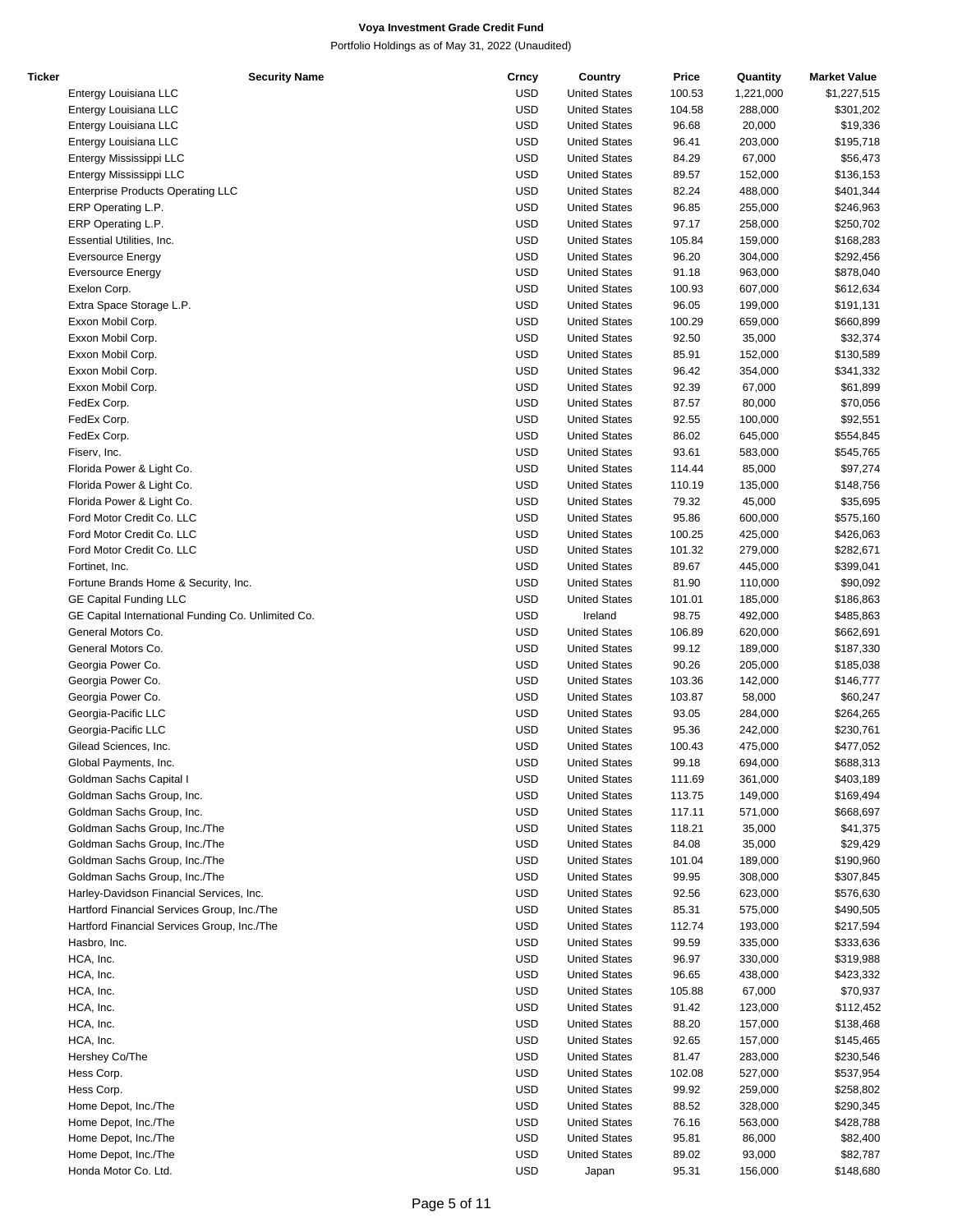| Ticker | <b>Security Name</b>                               | Crncy      | Country              | Price  | Quantity  | <b>Market Value</b> |
|--------|----------------------------------------------------|------------|----------------------|--------|-----------|---------------------|
|        | Entergy Louisiana LLC                              | <b>USD</b> | <b>United States</b> | 100.53 | 1,221,000 | \$1,227,515         |
|        | Entergy Louisiana LLC                              | <b>USD</b> | <b>United States</b> | 104.58 | 288,000   | \$301,202           |
|        | Entergy Louisiana LLC                              | <b>USD</b> | <b>United States</b> | 96.68  | 20,000    | \$19,336            |
|        | Entergy Louisiana LLC                              | <b>USD</b> | <b>United States</b> | 96.41  | 203,000   | \$195,718           |
|        | Entergy Mississippi LLC                            | <b>USD</b> | <b>United States</b> | 84.29  | 67,000    | \$56,473            |
|        | Entergy Mississippi LLC                            | <b>USD</b> | <b>United States</b> | 89.57  | 152,000   | \$136,153           |
|        | <b>Enterprise Products Operating LLC</b>           | <b>USD</b> | <b>United States</b> | 82.24  | 488,000   | \$401,344           |
|        | ERP Operating L.P.                                 | <b>USD</b> | <b>United States</b> | 96.85  | 255,000   | \$246,963           |
|        | ERP Operating L.P.                                 | <b>USD</b> | <b>United States</b> | 97.17  | 258,000   | \$250,702           |
|        | Essential Utilities, Inc.                          | <b>USD</b> | <b>United States</b> | 105.84 | 159,000   | \$168,283           |
|        | <b>Eversource Energy</b>                           | <b>USD</b> | <b>United States</b> | 96.20  | 304,000   | \$292,456           |
|        |                                                    | <b>USD</b> | <b>United States</b> | 91.18  | 963,000   | \$878,040           |
|        | <b>Eversource Energy</b>                           |            |                      |        |           |                     |
|        | Exelon Corp.                                       | <b>USD</b> | <b>United States</b> | 100.93 | 607,000   | \$612,634           |
|        | Extra Space Storage L.P.                           | <b>USD</b> | <b>United States</b> | 96.05  | 199,000   | \$191,131           |
|        | Exxon Mobil Corp.                                  | <b>USD</b> | <b>United States</b> | 100.29 | 659,000   | \$660,899           |
|        | Exxon Mobil Corp.                                  | <b>USD</b> | <b>United States</b> | 92.50  | 35,000    | \$32,374            |
|        | Exxon Mobil Corp.                                  | <b>USD</b> | <b>United States</b> | 85.91  | 152,000   | \$130,589           |
|        | Exxon Mobil Corp.                                  | <b>USD</b> | <b>United States</b> | 96.42  | 354,000   | \$341,332           |
|        | Exxon Mobil Corp.                                  | <b>USD</b> | <b>United States</b> | 92.39  | 67,000    | \$61,899            |
|        | FedEx Corp.                                        | <b>USD</b> | <b>United States</b> | 87.57  | 80,000    | \$70,056            |
|        | FedEx Corp.                                        | <b>USD</b> | <b>United States</b> | 92.55  | 100,000   | \$92,551            |
|        | FedEx Corp.                                        | <b>USD</b> | <b>United States</b> | 86.02  | 645,000   | \$554,845           |
|        | Fiserv, Inc.                                       | <b>USD</b> | <b>United States</b> | 93.61  | 583,000   | \$545,765           |
|        | Florida Power & Light Co.                          | <b>USD</b> | <b>United States</b> | 114.44 | 85,000    | \$97,274            |
|        | Florida Power & Light Co.                          | <b>USD</b> | <b>United States</b> | 110.19 | 135,000   | \$148,756           |
|        | Florida Power & Light Co.                          | <b>USD</b> | <b>United States</b> | 79.32  | 45,000    | \$35,695            |
|        | Ford Motor Credit Co. LLC                          | <b>USD</b> | <b>United States</b> | 95.86  | 600,000   | \$575,160           |
|        | Ford Motor Credit Co. LLC                          | <b>USD</b> | <b>United States</b> | 100.25 | 425,000   | \$426,063           |
|        | Ford Motor Credit Co. LLC                          | <b>USD</b> | <b>United States</b> | 101.32 | 279,000   | \$282,671           |
|        | Fortinet, Inc.                                     | <b>USD</b> | <b>United States</b> | 89.67  | 445,000   | \$399,041           |
|        | Fortune Brands Home & Security, Inc.               | <b>USD</b> | <b>United States</b> | 81.90  | 110,000   | \$90,092            |
|        | <b>GE Capital Funding LLC</b>                      | <b>USD</b> | <b>United States</b> | 101.01 | 185,000   | \$186,863           |
|        | GE Capital International Funding Co. Unlimited Co. | <b>USD</b> | Ireland              | 98.75  | 492,000   | \$485,863           |
|        | General Motors Co.                                 | <b>USD</b> | <b>United States</b> | 106.89 | 620,000   | \$662,691           |
|        | General Motors Co.                                 | <b>USD</b> | <b>United States</b> | 99.12  | 189,000   |                     |
|        |                                                    |            |                      |        |           | \$187,330           |
|        | Georgia Power Co.                                  | <b>USD</b> | <b>United States</b> | 90.26  | 205,000   | \$185,038           |
|        | Georgia Power Co.                                  | <b>USD</b> | <b>United States</b> | 103.36 | 142,000   | \$146,777           |
|        | Georgia Power Co.                                  | <b>USD</b> | <b>United States</b> | 103.87 | 58,000    | \$60,247            |
|        | Georgia-Pacific LLC                                | <b>USD</b> | <b>United States</b> | 93.05  | 284,000   | \$264,265           |
|        | Georgia-Pacific LLC                                | <b>USD</b> | <b>United States</b> | 95.36  | 242,000   | \$230,761           |
|        | Gilead Sciences, Inc.                              | <b>USD</b> | <b>United States</b> | 100.43 | 475,000   | \$477,052           |
|        | Global Payments, Inc.                              | <b>USD</b> | <b>United States</b> | 99.18  | 694,000   | \$688,313           |
|        | Goldman Sachs Capital I                            | <b>USD</b> | <b>United States</b> | 111.69 | 361,000   | \$403,189           |
|        | Goldman Sachs Group, Inc.                          | <b>USD</b> | <b>United States</b> | 113.75 | 149,000   | \$169,494           |
|        | Goldman Sachs Group, Inc.                          | <b>USD</b> | <b>United States</b> | 117.11 | 571,000   | \$668,697           |
|        | Goldman Sachs Group, Inc./The                      | <b>USD</b> | <b>United States</b> | 118.21 | 35,000    | \$41,375            |
|        | Goldman Sachs Group, Inc./The                      | <b>USD</b> | <b>United States</b> | 84.08  | 35,000    | \$29,429            |
|        | Goldman Sachs Group, Inc./The                      | <b>USD</b> | <b>United States</b> | 101.04 | 189,000   | \$190,960           |
|        | Goldman Sachs Group, Inc./The                      | <b>USD</b> | <b>United States</b> | 99.95  | 308,000   | \$307,845           |
|        | Harley-Davidson Financial Services, Inc.           | <b>USD</b> | <b>United States</b> | 92.56  | 623,000   | \$576,630           |
|        | Hartford Financial Services Group, Inc./The        | <b>USD</b> | <b>United States</b> | 85.31  | 575,000   | \$490,505           |
|        | Hartford Financial Services Group, Inc./The        | <b>USD</b> | <b>United States</b> | 112.74 | 193,000   | \$217,594           |
|        | Hasbro, Inc.                                       | <b>USD</b> | <b>United States</b> | 99.59  | 335,000   | \$333,636           |
|        | HCA, Inc.                                          | <b>USD</b> | <b>United States</b> | 96.97  | 330,000   | \$319,988           |
|        | HCA, Inc.                                          | <b>USD</b> | <b>United States</b> | 96.65  | 438,000   | \$423,332           |
|        | HCA, Inc.                                          | <b>USD</b> | <b>United States</b> | 105.88 | 67,000    | \$70,937            |
|        | HCA, Inc.                                          | <b>USD</b> | <b>United States</b> | 91.42  | 123,000   | \$112,452           |
|        | HCA, Inc.                                          | <b>USD</b> | <b>United States</b> | 88.20  | 157,000   | \$138,468           |
|        |                                                    | <b>USD</b> |                      |        |           |                     |
|        | HCA, Inc.                                          |            | <b>United States</b> | 92.65  | 157,000   | \$145,465           |
|        | Hershey Co/The                                     | <b>USD</b> | <b>United States</b> | 81.47  | 283,000   | \$230,546           |
|        | Hess Corp.                                         | <b>USD</b> | <b>United States</b> | 102.08 | 527,000   | \$537,954           |
|        | Hess Corp.                                         | <b>USD</b> | <b>United States</b> | 99.92  | 259,000   | \$258,802           |
|        | Home Depot, Inc./The                               | <b>USD</b> | <b>United States</b> | 88.52  | 328,000   | \$290,345           |
|        | Home Depot, Inc./The                               | <b>USD</b> | <b>United States</b> | 76.16  | 563,000   | \$428,788           |
|        | Home Depot, Inc./The                               | <b>USD</b> | <b>United States</b> | 95.81  | 86,000    | \$82,400            |
|        | Home Depot, Inc./The                               | <b>USD</b> | <b>United States</b> | 89.02  | 93,000    | \$82,787            |
|        | Honda Motor Co. Ltd.                               | <b>USD</b> | Japan                | 95.31  | 156,000   | \$148,680           |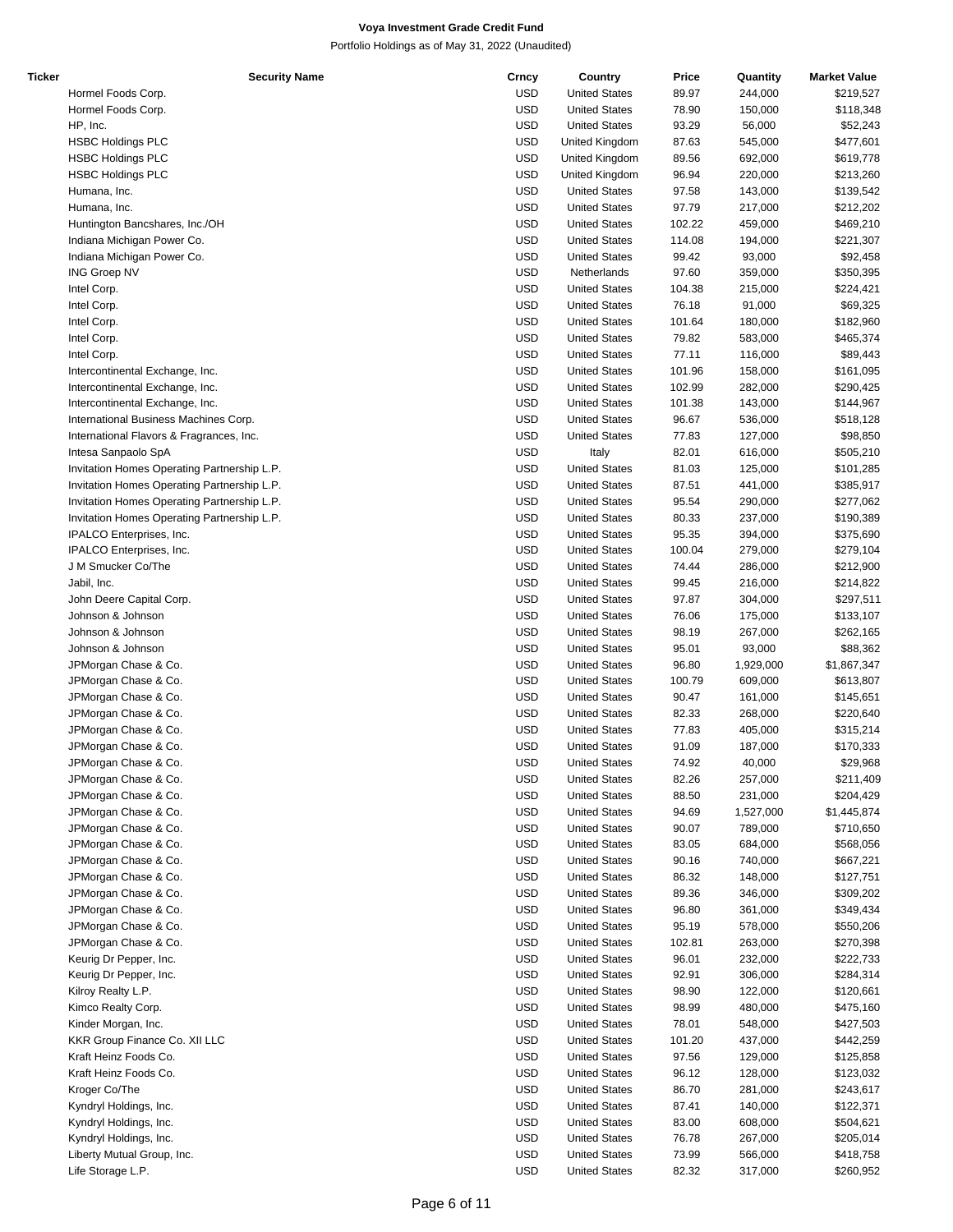| Ticker | <b>Security Name</b>                        | Crncy      | Country              | Price  | Quantity  | <b>Market Value</b> |
|--------|---------------------------------------------|------------|----------------------|--------|-----------|---------------------|
|        | Hormel Foods Corp.                          | USD        | <b>United States</b> | 89.97  | 244,000   | \$219,527           |
|        | Hormel Foods Corp.                          | USD        | <b>United States</b> | 78.90  | 150,000   | \$118,348           |
|        | HP, Inc.                                    | <b>USD</b> | <b>United States</b> | 93.29  | 56,000    | \$52,243            |
|        |                                             |            |                      |        |           |                     |
|        | <b>HSBC Holdings PLC</b>                    | <b>USD</b> | United Kingdom       | 87.63  | 545,000   | \$477,601           |
|        | <b>HSBC Holdings PLC</b>                    | <b>USD</b> | United Kingdom       | 89.56  | 692,000   | \$619,778           |
|        | <b>HSBC Holdings PLC</b>                    | <b>USD</b> | United Kingdom       | 96.94  | 220,000   | \$213,260           |
|        | Humana, Inc.                                | <b>USD</b> | <b>United States</b> | 97.58  | 143,000   | \$139,542           |
|        | Humana, Inc.                                | <b>USD</b> | <b>United States</b> | 97.79  | 217,000   | \$212,202           |
|        | Huntington Bancshares, Inc./OH              | USD        | <b>United States</b> | 102.22 | 459,000   | \$469,210           |
|        | Indiana Michigan Power Co.                  | <b>USD</b> | <b>United States</b> | 114.08 | 194,000   | \$221,307           |
|        |                                             |            |                      |        |           |                     |
|        | Indiana Michigan Power Co.                  | <b>USD</b> | <b>United States</b> | 99.42  | 93,000    | \$92,458            |
|        | <b>ING Groep NV</b>                         | <b>USD</b> | Netherlands          | 97.60  | 359,000   | \$350,395           |
|        | Intel Corp.                                 | <b>USD</b> | <b>United States</b> | 104.38 | 215,000   | \$224,421           |
|        | Intel Corp.                                 | <b>USD</b> | <b>United States</b> | 76.18  | 91,000    | \$69,325            |
|        | Intel Corp.                                 | <b>USD</b> | <b>United States</b> | 101.64 | 180,000   | \$182,960           |
|        | Intel Corp.                                 | <b>USD</b> | <b>United States</b> | 79.82  | 583,000   | \$465,374           |
|        |                                             |            |                      |        |           |                     |
|        | Intel Corp.                                 | USD        | <b>United States</b> | 77.11  | 116,000   | \$89,443            |
|        | Intercontinental Exchange, Inc.             | <b>USD</b> | <b>United States</b> | 101.96 | 158,000   | \$161,095           |
|        | Intercontinental Exchange, Inc.             | <b>USD</b> | <b>United States</b> | 102.99 | 282,000   | \$290,425           |
|        | Intercontinental Exchange, Inc.             | <b>USD</b> | <b>United States</b> | 101.38 | 143,000   | \$144,967           |
|        | International Business Machines Corp.       | <b>USD</b> | <b>United States</b> | 96.67  | 536,000   | \$518,128           |
|        | International Flavors & Fragrances, Inc.    | <b>USD</b> | <b>United States</b> | 77.83  | 127,000   | \$98,850            |
|        |                                             |            |                      |        |           |                     |
|        | Intesa Sanpaolo SpA                         | <b>USD</b> | Italy                | 82.01  | 616,000   | \$505,210           |
|        | Invitation Homes Operating Partnership L.P. | <b>USD</b> | <b>United States</b> | 81.03  | 125,000   | \$101,285           |
|        | Invitation Homes Operating Partnership L.P. | USD        | <b>United States</b> | 87.51  | 441,000   | \$385,917           |
|        | Invitation Homes Operating Partnership L.P. | <b>USD</b> | <b>United States</b> | 95.54  | 290,000   | \$277,062           |
|        | Invitation Homes Operating Partnership L.P. | <b>USD</b> | <b>United States</b> | 80.33  | 237,000   | \$190,389           |
|        |                                             |            |                      |        |           |                     |
|        | IPALCO Enterprises, Inc.                    | <b>USD</b> | <b>United States</b> | 95.35  | 394,000   | \$375,690           |
|        | IPALCO Enterprises, Inc.                    | <b>USD</b> | <b>United States</b> | 100.04 | 279,000   | \$279,104           |
|        | J M Smucker Co/The                          | <b>USD</b> | <b>United States</b> | 74.44  | 286,000   | \$212,900           |
|        | Jabil, Inc.                                 | <b>USD</b> | <b>United States</b> | 99.45  | 216,000   | \$214,822           |
|        | John Deere Capital Corp.                    | <b>USD</b> | <b>United States</b> | 97.87  | 304,000   | \$297,511           |
|        |                                             |            |                      |        |           |                     |
|        | Johnson & Johnson                           | USD        | <b>United States</b> | 76.06  | 175,000   | \$133,107           |
|        | Johnson & Johnson                           | USD        | <b>United States</b> | 98.19  | 267,000   | \$262,165           |
|        | Johnson & Johnson                           | <b>USD</b> | <b>United States</b> | 95.01  | 93,000    | \$88,362            |
|        | JPMorgan Chase & Co.                        | <b>USD</b> | <b>United States</b> | 96.80  | 1,929,000 | \$1,867,347         |
|        | JPMorgan Chase & Co.                        | <b>USD</b> | <b>United States</b> | 100.79 | 609,000   | \$613,807           |
|        | JPMorgan Chase & Co.                        | <b>USD</b> | <b>United States</b> | 90.47  | 161,000   | \$145,651           |
|        |                                             |            |                      |        |           |                     |
|        | JPMorgan Chase & Co.                        | <b>USD</b> | <b>United States</b> | 82.33  | 268,000   | \$220,640           |
|        | JPMorgan Chase & Co.                        | <b>USD</b> | <b>United States</b> | 77.83  | 405,000   | \$315,214           |
|        | JPMorgan Chase & Co.                        | USD        | <b>United States</b> | 91.09  | 187,000   | \$170,333           |
|        | JPMorgan Chase & Co.                        | <b>USD</b> | <b>United States</b> | 74.92  | 40,000    | \$29,968            |
|        | JPMorgan Chase & Co.                        | USD        | <b>United States</b> | 82.26  | 257,000   | \$211,409           |
|        | JPMorgan Chase & Co.                        | <b>USD</b> | <b>United States</b> | 88.50  | 231,000   | \$204,429           |
|        |                                             |            |                      |        |           |                     |
|        | JPMorgan Chase & Co.                        | <b>USD</b> | <b>United States</b> | 94.69  | 1,527,000 | \$1,445,874         |
|        | JPMorgan Chase & Co.                        | <b>USD</b> | <b>United States</b> | 90.07  | 789,000   | \$710,650           |
|        | JPMorgan Chase & Co.                        | <b>USD</b> | <b>United States</b> | 83.05  | 684,000   | \$568,056           |
|        | JPMorgan Chase & Co.                        | <b>USD</b> | <b>United States</b> | 90.16  | 740,000   | \$667,221           |
|        | JPMorgan Chase & Co.                        | USD        | <b>United States</b> | 86.32  | 148,000   | \$127,751           |
|        |                                             |            |                      |        |           |                     |
|        | JPMorgan Chase & Co.                        | <b>USD</b> | <b>United States</b> | 89.36  | 346,000   | \$309,202           |
|        | JPMorgan Chase & Co.                        | <b>USD</b> | <b>United States</b> | 96.80  | 361,000   | \$349,434           |
|        | JPMorgan Chase & Co.                        | <b>USD</b> | <b>United States</b> | 95.19  | 578,000   | \$550,206           |
|        | JPMorgan Chase & Co.                        | USD        | <b>United States</b> | 102.81 | 263,000   | \$270,398           |
|        | Keurig Dr Pepper, Inc.                      | USD        | <b>United States</b> | 96.01  | 232,000   | \$222,733           |
|        |                                             |            |                      |        |           |                     |
|        | Keurig Dr Pepper, Inc.                      | <b>USD</b> | <b>United States</b> | 92.91  | 306,000   | \$284,314           |
|        | Kilroy Realty L.P.                          | <b>USD</b> | <b>United States</b> | 98.90  | 122,000   | \$120,661           |
|        | Kimco Realty Corp.                          | USD        | <b>United States</b> | 98.99  | 480,000   | \$475,160           |
|        | Kinder Morgan, Inc.                         | <b>USD</b> | <b>United States</b> | 78.01  | 548,000   | \$427,503           |
|        | KKR Group Finance Co. XII LLC               | <b>USD</b> | <b>United States</b> | 101.20 | 437,000   | \$442,259           |
|        |                                             |            |                      |        |           |                     |
|        | Kraft Heinz Foods Co.                       | <b>USD</b> | <b>United States</b> | 97.56  | 129,000   | \$125,858           |
|        | Kraft Heinz Foods Co.                       | USD        | <b>United States</b> | 96.12  | 128,000   | \$123,032           |
|        | Kroger Co/The                               | USD        | <b>United States</b> | 86.70  | 281,000   | \$243,617           |
|        | Kyndryl Holdings, Inc.                      | <b>USD</b> | <b>United States</b> | 87.41  | 140,000   | \$122,371           |
|        | Kyndryl Holdings, Inc.                      | <b>USD</b> | <b>United States</b> | 83.00  | 608,000   | \$504,621           |
|        |                                             |            |                      |        |           |                     |
|        | Kyndryl Holdings, Inc.                      | USD        | <b>United States</b> | 76.78  | 267,000   | \$205,014           |
|        | Liberty Mutual Group, Inc.                  | <b>USD</b> | <b>United States</b> | 73.99  | 566,000   | \$418,758           |
|        | Life Storage L.P.                           | <b>USD</b> | <b>United States</b> | 82.32  | 317,000   | \$260,952           |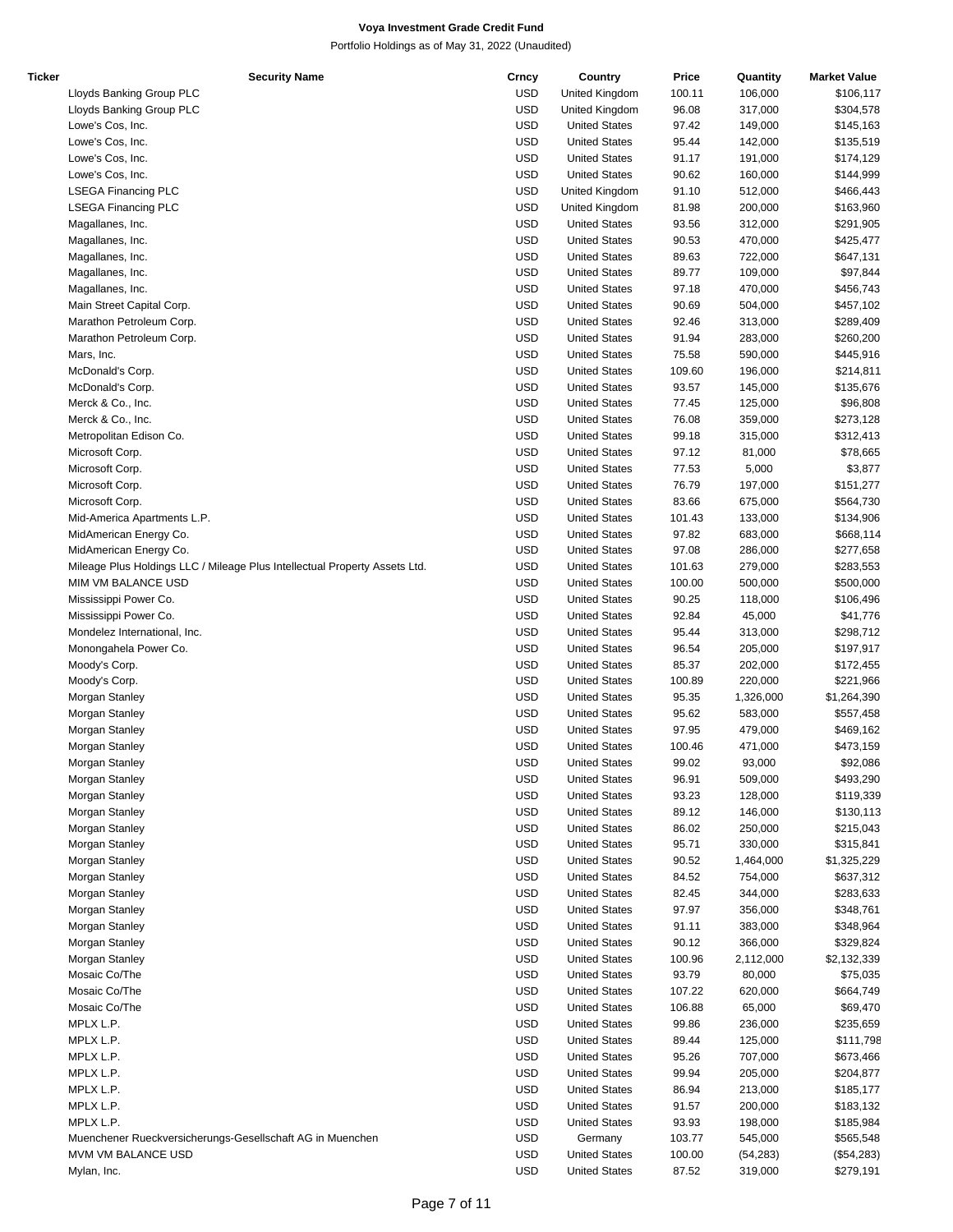| Ticker | <b>Security Name</b>                                                       | Crncy      | Country              | Price  | Quantity  | <b>Market Value</b> |
|--------|----------------------------------------------------------------------------|------------|----------------------|--------|-----------|---------------------|
|        | Lloyds Banking Group PLC                                                   | <b>USD</b> | United Kingdom       | 100.11 | 106,000   | \$106,117           |
|        | Lloyds Banking Group PLC                                                   | <b>USD</b> | United Kingdom       | 96.08  | 317,000   | \$304,578           |
|        | Lowe's Cos, Inc.                                                           | <b>USD</b> | <b>United States</b> | 97.42  | 149,000   | \$145,163           |
|        | Lowe's Cos, Inc.                                                           | <b>USD</b> | <b>United States</b> | 95.44  | 142,000   | \$135,519           |
|        | Lowe's Cos, Inc.                                                           | <b>USD</b> | <b>United States</b> | 91.17  | 191,000   | \$174,129           |
|        | Lowe's Cos, Inc.                                                           | <b>USD</b> | <b>United States</b> | 90.62  | 160,000   | \$144,999           |
|        | <b>LSEGA Financing PLC</b>                                                 | <b>USD</b> | United Kingdom       | 91.10  | 512,000   | \$466,443           |
|        | <b>LSEGA Financing PLC</b>                                                 | <b>USD</b> | United Kingdom       | 81.98  | 200,000   | \$163,960           |
|        |                                                                            | <b>USD</b> |                      |        |           |                     |
|        | Magallanes, Inc.                                                           |            | <b>United States</b> | 93.56  | 312,000   | \$291,905           |
|        | Magallanes, Inc.                                                           | <b>USD</b> | <b>United States</b> | 90.53  | 470,000   | \$425,477           |
|        | Magallanes, Inc.                                                           | <b>USD</b> | <b>United States</b> | 89.63  | 722,000   | \$647,131           |
|        | Magallanes, Inc.                                                           | <b>USD</b> | <b>United States</b> | 89.77  | 109,000   | \$97,844            |
|        | Magallanes, Inc.                                                           | <b>USD</b> | <b>United States</b> | 97.18  | 470,000   | \$456,743           |
|        | Main Street Capital Corp.                                                  | <b>USD</b> | <b>United States</b> | 90.69  | 504,000   | \$457,102           |
|        | Marathon Petroleum Corp.                                                   | <b>USD</b> | <b>United States</b> | 92.46  | 313,000   | \$289,409           |
|        | Marathon Petroleum Corp.                                                   | <b>USD</b> | <b>United States</b> | 91.94  | 283,000   | \$260,200           |
|        | Mars, Inc.                                                                 | <b>USD</b> | <b>United States</b> | 75.58  | 590,000   | \$445,916           |
|        | McDonald's Corp.                                                           | <b>USD</b> | <b>United States</b> | 109.60 | 196,000   | \$214,811           |
|        | McDonald's Corp.                                                           | <b>USD</b> | <b>United States</b> | 93.57  | 145,000   | \$135,676           |
|        | Merck & Co., Inc.                                                          | <b>USD</b> | <b>United States</b> | 77.45  | 125,000   | \$96,808            |
|        | Merck & Co., Inc.                                                          | <b>USD</b> | <b>United States</b> | 76.08  | 359,000   | \$273,128           |
|        |                                                                            |            |                      |        |           |                     |
|        | Metropolitan Edison Co.                                                    | <b>USD</b> | <b>United States</b> | 99.18  | 315,000   | \$312,413           |
|        | Microsoft Corp.                                                            | <b>USD</b> | <b>United States</b> | 97.12  | 81,000    | \$78,665            |
|        | Microsoft Corp.                                                            | <b>USD</b> | <b>United States</b> | 77.53  | 5,000     | \$3,877             |
|        | Microsoft Corp.                                                            | <b>USD</b> | <b>United States</b> | 76.79  | 197,000   | \$151,277           |
|        | Microsoft Corp.                                                            | <b>USD</b> | <b>United States</b> | 83.66  | 675,000   | \$564,730           |
|        | Mid-America Apartments L.P.                                                | <b>USD</b> | <b>United States</b> | 101.43 | 133,000   | \$134,906           |
|        | MidAmerican Energy Co.                                                     | <b>USD</b> | <b>United States</b> | 97.82  | 683,000   | \$668,114           |
|        | MidAmerican Energy Co.                                                     | <b>USD</b> | <b>United States</b> | 97.08  | 286,000   | \$277,658           |
|        | Mileage Plus Holdings LLC / Mileage Plus Intellectual Property Assets Ltd. | <b>USD</b> | <b>United States</b> | 101.63 | 279,000   | \$283,553           |
|        | MIM VM BALANCE USD                                                         | <b>USD</b> | <b>United States</b> | 100.00 | 500,000   | \$500,000           |
|        | Mississippi Power Co.                                                      | <b>USD</b> | <b>United States</b> | 90.25  | 118,000   | \$106,496           |
|        | Mississippi Power Co.                                                      | <b>USD</b> | <b>United States</b> | 92.84  | 45,000    | \$41,776            |
|        | Mondelez International, Inc.                                               | <b>USD</b> | <b>United States</b> | 95.44  |           | \$298,712           |
|        |                                                                            |            |                      |        | 313,000   |                     |
|        | Monongahela Power Co.                                                      | <b>USD</b> | <b>United States</b> | 96.54  | 205,000   | \$197,917           |
|        | Moody's Corp.                                                              | <b>USD</b> | <b>United States</b> | 85.37  | 202,000   | \$172,455           |
|        | Moody's Corp.                                                              | <b>USD</b> | <b>United States</b> | 100.89 | 220,000   | \$221,966           |
|        | Morgan Stanley                                                             | <b>USD</b> | <b>United States</b> | 95.35  | 1,326,000 | \$1,264,390         |
|        | Morgan Stanley                                                             | <b>USD</b> | <b>United States</b> | 95.62  | 583,000   | \$557,458           |
|        | Morgan Stanley                                                             | <b>USD</b> | <b>United States</b> | 97.95  | 479,000   | \$469,162           |
|        | Morgan Stanley                                                             | <b>USD</b> | <b>United States</b> | 100.46 | 471,000   | \$473,159           |
|        | Morgan Stanley                                                             | <b>USD</b> | <b>United States</b> | 99.02  | 93,000    | \$92,086            |
|        | Morgan Stanley                                                             | <b>USD</b> | <b>United States</b> | 96.91  | 509,000   | \$493,290           |
|        | Morgan Stanley                                                             | <b>USD</b> | <b>United States</b> | 93.23  | 128,000   | \$119,339           |
|        | Morgan Stanley                                                             | <b>USD</b> | <b>United States</b> | 89.12  | 146,000   | \$130,113           |
|        | Morgan Stanley                                                             | <b>USD</b> | <b>United States</b> | 86.02  | 250,000   | \$215,043           |
|        | Morgan Stanley                                                             | <b>USD</b> | <b>United States</b> | 95.71  | 330,000   | \$315,841           |
|        |                                                                            |            |                      |        |           |                     |
|        | Morgan Stanley                                                             | <b>USD</b> | <b>United States</b> | 90.52  | 1,464,000 | \$1,325,229         |
|        | Morgan Stanley                                                             | <b>USD</b> | <b>United States</b> | 84.52  | 754,000   | \$637,312           |
|        | Morgan Stanley                                                             | <b>USD</b> | <b>United States</b> | 82.45  | 344,000   | \$283,633           |
|        | Morgan Stanley                                                             | <b>USD</b> | <b>United States</b> | 97.97  | 356,000   | \$348,761           |
|        | Morgan Stanley                                                             | <b>USD</b> | <b>United States</b> | 91.11  | 383,000   | \$348,964           |
|        | Morgan Stanley                                                             | <b>USD</b> | <b>United States</b> | 90.12  | 366,000   | \$329,824           |
|        | Morgan Stanley                                                             | <b>USD</b> | <b>United States</b> | 100.96 | 2,112,000 | \$2,132,339         |
|        | Mosaic Co/The                                                              | <b>USD</b> | <b>United States</b> | 93.79  | 80,000    | \$75,035            |
|        | Mosaic Co/The                                                              | <b>USD</b> | <b>United States</b> | 107.22 | 620,000   | \$664,749           |
|        | Mosaic Co/The                                                              | <b>USD</b> | <b>United States</b> | 106.88 | 65,000    | \$69,470            |
|        | MPLX L.P.                                                                  | <b>USD</b> | <b>United States</b> | 99.86  | 236,000   | \$235,659           |
|        | MPLX L.P.                                                                  | <b>USD</b> | <b>United States</b> | 89.44  | 125,000   | \$111,798           |
|        |                                                                            | <b>USD</b> | <b>United States</b> | 95.26  | 707,000   |                     |
|        | MPLX L.P.                                                                  |            |                      |        |           | \$673,466           |
|        | MPLX L.P.                                                                  | <b>USD</b> | <b>United States</b> | 99.94  | 205,000   | \$204,877           |
|        | MPLX L.P.                                                                  | <b>USD</b> | <b>United States</b> | 86.94  | 213,000   | \$185,177           |
|        | MPLX L.P.                                                                  | <b>USD</b> | <b>United States</b> | 91.57  | 200,000   | \$183,132           |
|        | MPLX L.P.                                                                  | <b>USD</b> | <b>United States</b> | 93.93  | 198,000   | \$185,984           |
|        | Muenchener Rueckversicherungs-Gesellschaft AG in Muenchen                  | <b>USD</b> | Germany              | 103.77 | 545,000   | \$565,548           |
|        | MVM VM BALANCE USD                                                         | <b>USD</b> | <b>United States</b> | 100.00 | (54, 283) | (\$54,283)          |
|        | Mylan, Inc.                                                                | <b>USD</b> | <b>United States</b> | 87.52  | 319,000   | \$279,191           |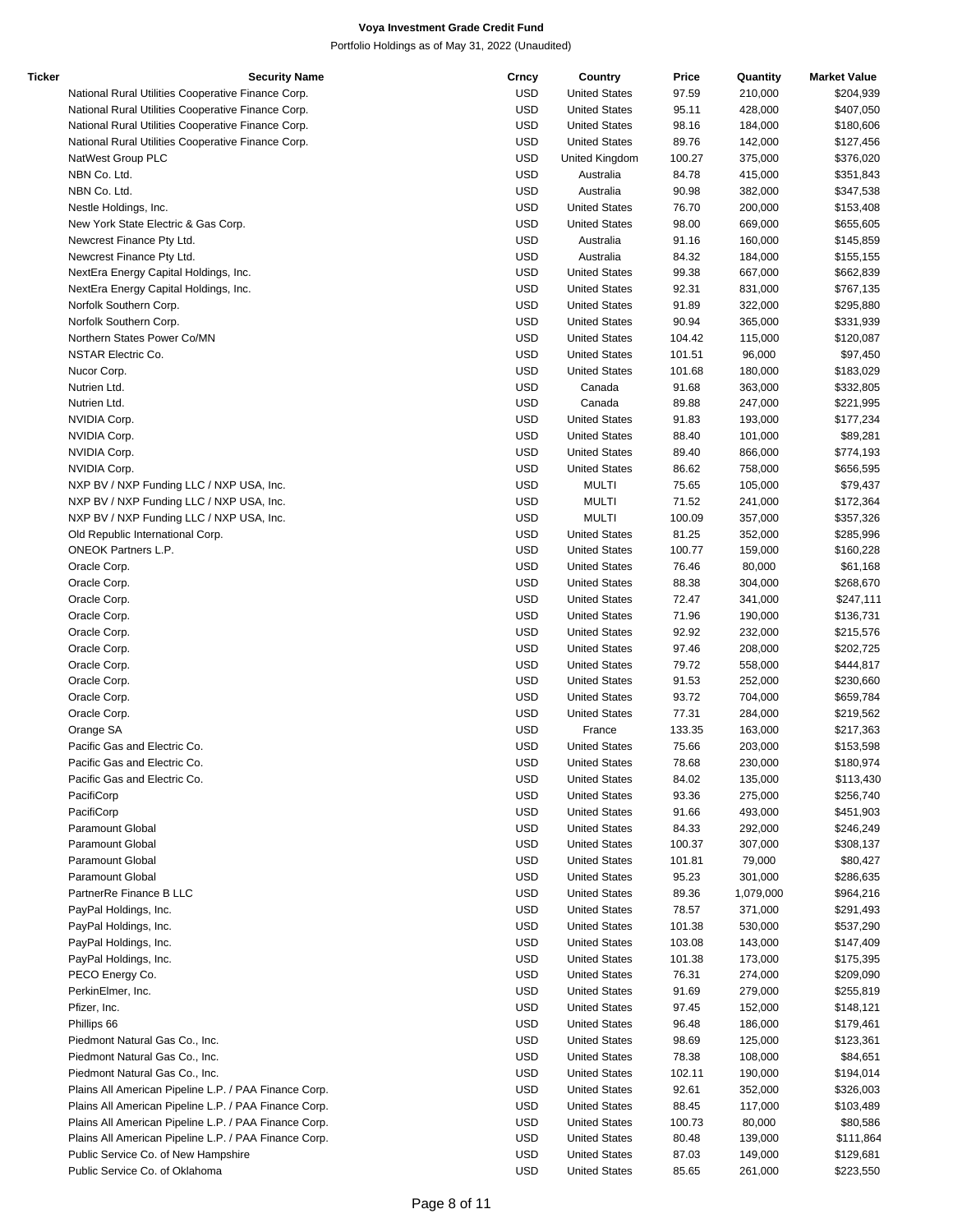| Ticker | <b>Security Name</b>                                  | Crncy      | Country              | Price  | Quantity  | <b>Market Value</b> |
|--------|-------------------------------------------------------|------------|----------------------|--------|-----------|---------------------|
|        | National Rural Utilities Cooperative Finance Corp.    | <b>USD</b> | <b>United States</b> | 97.59  | 210,000   | \$204,939           |
|        | National Rural Utilities Cooperative Finance Corp.    | <b>USD</b> | <b>United States</b> | 95.11  | 428,000   | \$407,050           |
|        | National Rural Utilities Cooperative Finance Corp.    | <b>USD</b> | <b>United States</b> | 98.16  | 184,000   | \$180,606           |
|        | National Rural Utilities Cooperative Finance Corp.    | <b>USD</b> | <b>United States</b> | 89.76  | 142,000   | \$127,456           |
|        | NatWest Group PLC                                     | <b>USD</b> | United Kingdom       | 100.27 | 375,000   | \$376,020           |
|        | NBN Co. Ltd.                                          | <b>USD</b> | Australia            | 84.78  | 415,000   | \$351,843           |
|        | NBN Co. Ltd.                                          | <b>USD</b> | Australia            | 90.98  | 382,000   | \$347,538           |
|        | Nestle Holdings, Inc.                                 | <b>USD</b> | <b>United States</b> | 76.70  | 200,000   | \$153,408           |
|        | New York State Electric & Gas Corp.                   | <b>USD</b> | <b>United States</b> | 98.00  | 669,000   | \$655,605           |
|        | Newcrest Finance Pty Ltd.                             | <b>USD</b> | Australia            | 91.16  | 160,000   | \$145,859           |
|        |                                                       |            |                      |        |           |                     |
|        | Newcrest Finance Pty Ltd.                             | <b>USD</b> | Australia            | 84.32  | 184,000   | \$155,155           |
|        | NextEra Energy Capital Holdings, Inc.                 | <b>USD</b> | <b>United States</b> | 99.38  | 667,000   | \$662,839           |
|        | NextEra Energy Capital Holdings, Inc.                 | <b>USD</b> | <b>United States</b> | 92.31  | 831,000   | \$767,135           |
|        | Norfolk Southern Corp.                                | <b>USD</b> | <b>United States</b> | 91.89  | 322,000   | \$295,880           |
|        | Norfolk Southern Corp.                                | <b>USD</b> | <b>United States</b> | 90.94  | 365,000   | \$331,939           |
|        | Northern States Power Co/MN                           | <b>USD</b> | <b>United States</b> | 104.42 | 115,000   | \$120,087           |
|        | <b>NSTAR Electric Co.</b>                             | <b>USD</b> | <b>United States</b> | 101.51 | 96,000    | \$97,450            |
|        | Nucor Corp.                                           | <b>USD</b> | <b>United States</b> | 101.68 | 180,000   | \$183,029           |
|        | Nutrien Ltd.                                          | <b>USD</b> | Canada               | 91.68  | 363,000   | \$332,805           |
|        | Nutrien Ltd.                                          | <b>USD</b> | Canada               | 89.88  | 247,000   | \$221,995           |
|        | NVIDIA Corp.                                          | <b>USD</b> | <b>United States</b> | 91.83  | 193,000   | \$177,234           |
|        | NVIDIA Corp.                                          | <b>USD</b> | <b>United States</b> | 88.40  | 101,000   | \$89,281            |
|        | NVIDIA Corp.                                          | <b>USD</b> | <b>United States</b> | 89.40  | 866,000   | \$774,193           |
|        | NVIDIA Corp.                                          | <b>USD</b> | <b>United States</b> | 86.62  | 758,000   | \$656,595           |
|        |                                                       |            |                      |        |           |                     |
|        | NXP BV / NXP Funding LLC / NXP USA, Inc.              | <b>USD</b> | <b>MULTI</b>         | 75.65  | 105,000   | \$79,437            |
|        | NXP BV / NXP Funding LLC / NXP USA, Inc.              | <b>USD</b> | <b>MULTI</b>         | 71.52  | 241,000   | \$172,364           |
|        | NXP BV / NXP Funding LLC / NXP USA, Inc.              | <b>USD</b> | <b>MULTI</b>         | 100.09 | 357,000   | \$357,326           |
|        | Old Republic International Corp.                      | <b>USD</b> | <b>United States</b> | 81.25  | 352,000   | \$285,996           |
|        | <b>ONEOK Partners L.P.</b>                            | <b>USD</b> | <b>United States</b> | 100.77 | 159,000   | \$160,228           |
|        | Oracle Corp.                                          | <b>USD</b> | <b>United States</b> | 76.46  | 80,000    | \$61,168            |
|        | Oracle Corp.                                          | <b>USD</b> | <b>United States</b> | 88.38  | 304,000   | \$268,670           |
|        | Oracle Corp.                                          | <b>USD</b> | <b>United States</b> | 72.47  | 341,000   | \$247,111           |
|        | Oracle Corp.                                          | <b>USD</b> | <b>United States</b> | 71.96  | 190,000   | \$136,731           |
|        | Oracle Corp.                                          | <b>USD</b> | <b>United States</b> | 92.92  | 232,000   | \$215,576           |
|        | Oracle Corp.                                          | <b>USD</b> | <b>United States</b> | 97.46  | 208,000   | \$202,725           |
|        | Oracle Corp.                                          | <b>USD</b> | <b>United States</b> | 79.72  | 558,000   | \$444,817           |
|        | Oracle Corp.                                          | <b>USD</b> | <b>United States</b> | 91.53  | 252,000   | \$230,660           |
|        |                                                       |            |                      |        |           |                     |
|        | Oracle Corp.                                          | <b>USD</b> | <b>United States</b> | 93.72  | 704,000   | \$659,784           |
|        | Oracle Corp.                                          | <b>USD</b> | <b>United States</b> | 77.31  | 284,000   | \$219,562           |
|        | Orange SA                                             | <b>USD</b> | France               | 133.35 | 163,000   | \$217,363           |
|        | Pacific Gas and Electric Co.                          | <b>USD</b> | <b>United States</b> | 75.66  | 203,000   | \$153,598           |
|        | Pacific Gas and Electric Co.                          | <b>USD</b> | <b>United States</b> | 78.68  | 230.000   | \$180,974           |
|        | Pacific Gas and Electric Co.                          | <b>USD</b> | <b>United States</b> | 84.02  | 135,000   | \$113,430           |
|        | PacifiCorp                                            | <b>USD</b> | <b>United States</b> | 93.36  | 275,000   | \$256,740           |
|        | PacifiCorp                                            | <b>USD</b> | <b>United States</b> | 91.66  | 493,000   | \$451,903           |
|        | Paramount Global                                      | <b>USD</b> | <b>United States</b> | 84.33  | 292,000   | \$246,249           |
|        | Paramount Global                                      | <b>USD</b> | <b>United States</b> | 100.37 | 307,000   | \$308,137           |
|        | <b>Paramount Global</b>                               | <b>USD</b> | <b>United States</b> | 101.81 | 79,000    | \$80,427            |
|        | Paramount Global                                      | <b>USD</b> | <b>United States</b> | 95.23  | 301,000   | \$286,635           |
|        | PartnerRe Finance B LLC                               | <b>USD</b> | <b>United States</b> | 89.36  | 1,079,000 | \$964,216           |
|        | PayPal Holdings, Inc.                                 | <b>USD</b> | <b>United States</b> | 78.57  | 371,000   | \$291,493           |
|        |                                                       |            |                      |        |           |                     |
|        | PayPal Holdings, Inc.                                 | <b>USD</b> | <b>United States</b> | 101.38 | 530,000   | \$537,290           |
|        | PayPal Holdings, Inc.                                 | <b>USD</b> | <b>United States</b> | 103.08 | 143,000   | \$147,409           |
|        | PayPal Holdings, Inc.                                 | <b>USD</b> | <b>United States</b> | 101.38 | 173,000   | \$175,395           |
|        | PECO Energy Co.                                       | <b>USD</b> | <b>United States</b> | 76.31  | 274,000   | \$209,090           |
|        | PerkinElmer, Inc.                                     | <b>USD</b> | <b>United States</b> | 91.69  | 279,000   | \$255,819           |
|        | Pfizer, Inc.                                          | <b>USD</b> | <b>United States</b> | 97.45  | 152,000   | \$148,121           |
|        | Phillips 66                                           | <b>USD</b> | <b>United States</b> | 96.48  | 186,000   | \$179,461           |
|        | Piedmont Natural Gas Co., Inc.                        | <b>USD</b> | <b>United States</b> | 98.69  | 125,000   | \$123,361           |
|        | Piedmont Natural Gas Co., Inc.                        | <b>USD</b> | <b>United States</b> | 78.38  | 108,000   | \$84,651            |
|        | Piedmont Natural Gas Co., Inc.                        | <b>USD</b> | <b>United States</b> | 102.11 | 190,000   | \$194,014           |
|        | Plains All American Pipeline L.P. / PAA Finance Corp. | USD        | <b>United States</b> | 92.61  | 352,000   | \$326,003           |
|        | Plains All American Pipeline L.P. / PAA Finance Corp. | USD        | <b>United States</b> | 88.45  | 117,000   | \$103,489           |
|        | Plains All American Pipeline L.P. / PAA Finance Corp. | <b>USD</b> | <b>United States</b> | 100.73 | 80,000    | \$80,586            |
|        |                                                       |            |                      |        |           |                     |
|        | Plains All American Pipeline L.P. / PAA Finance Corp. | USD        | <b>United States</b> | 80.48  | 139,000   | \$111,864           |
|        | Public Service Co. of New Hampshire                   | <b>USD</b> | <b>United States</b> | 87.03  | 149,000   | \$129,681           |
|        | Public Service Co. of Oklahoma                        | <b>USD</b> | <b>United States</b> | 85.65  | 261,000   | \$223,550           |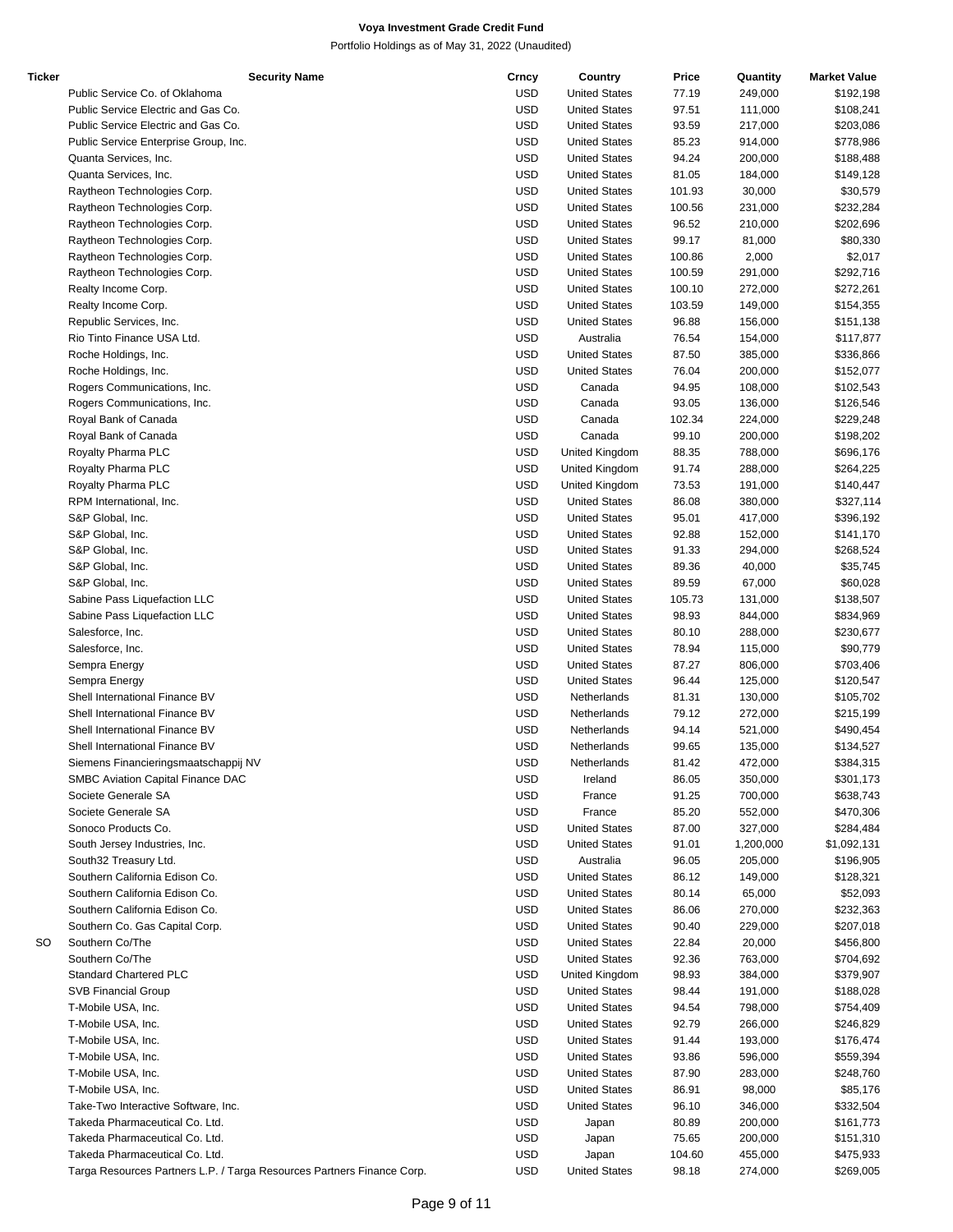| <b>Ticker</b> | <b>Security Name</b>                                                   | Crncy      | Country              | Price  | Quantity  | <b>Market Value</b> |
|---------------|------------------------------------------------------------------------|------------|----------------------|--------|-----------|---------------------|
|               | Public Service Co. of Oklahoma                                         | <b>USD</b> | <b>United States</b> | 77.19  | 249,000   | \$192,198           |
|               | Public Service Electric and Gas Co.                                    | <b>USD</b> | <b>United States</b> | 97.51  | 111,000   | \$108,241           |
|               | Public Service Electric and Gas Co.                                    | <b>USD</b> | <b>United States</b> | 93.59  | 217,000   | \$203,086           |
|               | Public Service Enterprise Group, Inc.                                  | <b>USD</b> | <b>United States</b> | 85.23  | 914,000   | \$778,986           |
|               | Quanta Services, Inc.                                                  | <b>USD</b> | <b>United States</b> | 94.24  | 200,000   | \$188,488           |
|               |                                                                        |            |                      |        |           |                     |
|               | Quanta Services, Inc.                                                  | <b>USD</b> | <b>United States</b> | 81.05  | 184,000   | \$149,128           |
|               | Raytheon Technologies Corp.                                            | <b>USD</b> | <b>United States</b> | 101.93 | 30,000    | \$30,579            |
|               | Raytheon Technologies Corp.                                            | <b>USD</b> | <b>United States</b> | 100.56 | 231,000   | \$232,284           |
|               | Raytheon Technologies Corp.                                            | <b>USD</b> | <b>United States</b> | 96.52  | 210,000   | \$202,696           |
|               | Raytheon Technologies Corp.                                            | <b>USD</b> | <b>United States</b> | 99.17  | 81,000    | \$80,330            |
|               | Raytheon Technologies Corp.                                            | <b>USD</b> | <b>United States</b> | 100.86 | 2,000     | \$2,017             |
|               | Raytheon Technologies Corp.                                            | <b>USD</b> | <b>United States</b> | 100.59 | 291,000   | \$292,716           |
|               | Realty Income Corp.                                                    | <b>USD</b> | <b>United States</b> | 100.10 | 272,000   | \$272,261           |
|               |                                                                        | <b>USD</b> | <b>United States</b> | 103.59 | 149,000   |                     |
|               | Realty Income Corp.                                                    |            |                      |        |           | \$154,355           |
|               | Republic Services, Inc.                                                | <b>USD</b> | <b>United States</b> | 96.88  | 156,000   | \$151,138           |
|               | Rio Tinto Finance USA Ltd.                                             | <b>USD</b> | Australia            | 76.54  | 154,000   | \$117,877           |
|               | Roche Holdings, Inc.                                                   | <b>USD</b> | <b>United States</b> | 87.50  | 385,000   | \$336,866           |
|               | Roche Holdings, Inc.                                                   | <b>USD</b> | <b>United States</b> | 76.04  | 200,000   | \$152,077           |
|               | Rogers Communications, Inc.                                            | <b>USD</b> | Canada               | 94.95  | 108,000   | \$102,543           |
|               | Rogers Communications, Inc.                                            | <b>USD</b> | Canada               | 93.05  | 136,000   | \$126,546           |
|               | Royal Bank of Canada                                                   | <b>USD</b> | Canada               | 102.34 | 224,000   | \$229,248           |
|               | Royal Bank of Canada                                                   | <b>USD</b> | Canada               | 99.10  | 200,000   | \$198,202           |
|               |                                                                        | <b>USD</b> |                      |        |           |                     |
|               | Royalty Pharma PLC                                                     |            | United Kingdom       | 88.35  | 788,000   | \$696,176           |
|               | Royalty Pharma PLC                                                     | <b>USD</b> | United Kingdom       | 91.74  | 288,000   | \$264,225           |
|               | Royalty Pharma PLC                                                     | <b>USD</b> | United Kingdom       | 73.53  | 191,000   | \$140,447           |
|               | RPM International, Inc.                                                | <b>USD</b> | <b>United States</b> | 86.08  | 380,000   | \$327,114           |
|               | S&P Global, Inc.                                                       | <b>USD</b> | <b>United States</b> | 95.01  | 417,000   | \$396,192           |
|               | S&P Global, Inc.                                                       | <b>USD</b> | <b>United States</b> | 92.88  | 152,000   | \$141,170           |
|               | S&P Global, Inc.                                                       | <b>USD</b> | <b>United States</b> | 91.33  | 294,000   | \$268,524           |
|               | S&P Global, Inc.                                                       | <b>USD</b> | <b>United States</b> | 89.36  | 40,000    | \$35,745            |
|               | S&P Global, Inc.                                                       | <b>USD</b> | <b>United States</b> | 89.59  | 67,000    | \$60,028            |
|               |                                                                        |            |                      |        |           |                     |
|               | Sabine Pass Liquefaction LLC                                           | <b>USD</b> | <b>United States</b> | 105.73 | 131,000   | \$138,507           |
|               | Sabine Pass Liquefaction LLC                                           | <b>USD</b> | <b>United States</b> | 98.93  | 844,000   | \$834,969           |
|               | Salesforce, Inc.                                                       | <b>USD</b> | <b>United States</b> | 80.10  | 288,000   | \$230,677           |
|               | Salesforce, Inc.                                                       | <b>USD</b> | <b>United States</b> | 78.94  | 115,000   | \$90,779            |
|               | Sempra Energy                                                          | <b>USD</b> | <b>United States</b> | 87.27  | 806,000   | \$703,406           |
|               | Sempra Energy                                                          | <b>USD</b> | <b>United States</b> | 96.44  | 125,000   | \$120,547           |
|               | Shell International Finance BV                                         | <b>USD</b> | Netherlands          | 81.31  | 130,000   | \$105,702           |
|               | Shell International Finance BV                                         | <b>USD</b> | Netherlands          | 79.12  | 272,000   | \$215,199           |
|               | Shell International Finance BV                                         |            |                      |        |           |                     |
|               |                                                                        | <b>USD</b> | Netherlands          | 94.14  | 521,000   | \$490,454           |
|               | Shell International Finance BV                                         | <b>USD</b> | Netherlands          | 99.65  | 135,000   | \$134,527           |
|               | Siemens Financieringsmaatschappij NV                                   | <b>USD</b> | Netherlands          | 81.42  | 472,000   | \$384,315           |
|               | SMBC Aviation Capital Finance DAC                                      | <b>USD</b> | Ireland              | 86.05  | 350,000   | \$301,173           |
|               | Societe Generale SA                                                    | <b>USD</b> | France               | 91.25  | 700,000   | \$638,743           |
|               | Societe Generale SA                                                    | <b>USD</b> | France               | 85.20  | 552,000   | \$470,306           |
|               | Sonoco Products Co.                                                    | <b>USD</b> | <b>United States</b> | 87.00  | 327,000   | \$284,484           |
|               | South Jersey Industries, Inc.                                          | <b>USD</b> | <b>United States</b> | 91.01  | 1,200,000 | \$1,092,131         |
|               | South32 Treasury Ltd.                                                  | <b>USD</b> | Australia            | 96.05  | 205,000   | \$196,905           |
|               |                                                                        |            |                      |        |           |                     |
|               | Southern California Edison Co.                                         | <b>USD</b> | <b>United States</b> | 86.12  | 149,000   | \$128,321           |
|               | Southern California Edison Co.                                         | <b>USD</b> | <b>United States</b> | 80.14  | 65,000    | \$52,093            |
|               | Southern California Edison Co.                                         | <b>USD</b> | <b>United States</b> | 86.06  | 270,000   | \$232,363           |
|               | Southern Co. Gas Capital Corp.                                         | <b>USD</b> | <b>United States</b> | 90.40  | 229,000   | \$207,018           |
| SO            | Southern Co/The                                                        | <b>USD</b> | <b>United States</b> | 22.84  | 20,000    | \$456,800           |
|               | Southern Co/The                                                        | <b>USD</b> | <b>United States</b> | 92.36  | 763,000   | \$704,692           |
|               | Standard Chartered PLC                                                 | <b>USD</b> | United Kingdom       | 98.93  | 384,000   | \$379,907           |
|               | <b>SVB Financial Group</b>                                             | <b>USD</b> | <b>United States</b> | 98.44  | 191,000   | \$188,028           |
|               |                                                                        |            |                      |        |           |                     |
|               | T-Mobile USA, Inc.                                                     | <b>USD</b> | <b>United States</b> | 94.54  | 798,000   | \$754,409           |
|               | T-Mobile USA, Inc.                                                     | <b>USD</b> | <b>United States</b> | 92.79  | 266,000   | \$246,829           |
|               | T-Mobile USA, Inc.                                                     | <b>USD</b> | <b>United States</b> | 91.44  | 193,000   | \$176,474           |
|               | T-Mobile USA, Inc.                                                     | <b>USD</b> | <b>United States</b> | 93.86  | 596,000   | \$559,394           |
|               | T-Mobile USA, Inc.                                                     | <b>USD</b> | <b>United States</b> | 87.90  | 283,000   | \$248,760           |
|               | T-Mobile USA, Inc.                                                     | <b>USD</b> | <b>United States</b> | 86.91  | 98,000    | \$85,176            |
|               | Take-Two Interactive Software, Inc.                                    | <b>USD</b> | <b>United States</b> | 96.10  | 346,000   | \$332,504           |
|               | Takeda Pharmaceutical Co. Ltd.                                         | <b>USD</b> | Japan                | 80.89  | 200,000   | \$161,773           |
|               | Takeda Pharmaceutical Co. Ltd.                                         | <b>USD</b> | Japan                | 75.65  | 200,000   | \$151,310           |
|               | Takeda Pharmaceutical Co. Ltd.                                         | <b>USD</b> |                      | 104.60 | 455,000   | \$475,933           |
|               |                                                                        |            | Japan                |        |           |                     |
|               | Targa Resources Partners L.P. / Targa Resources Partners Finance Corp. | <b>USD</b> | <b>United States</b> | 98.18  | 274,000   | \$269,005           |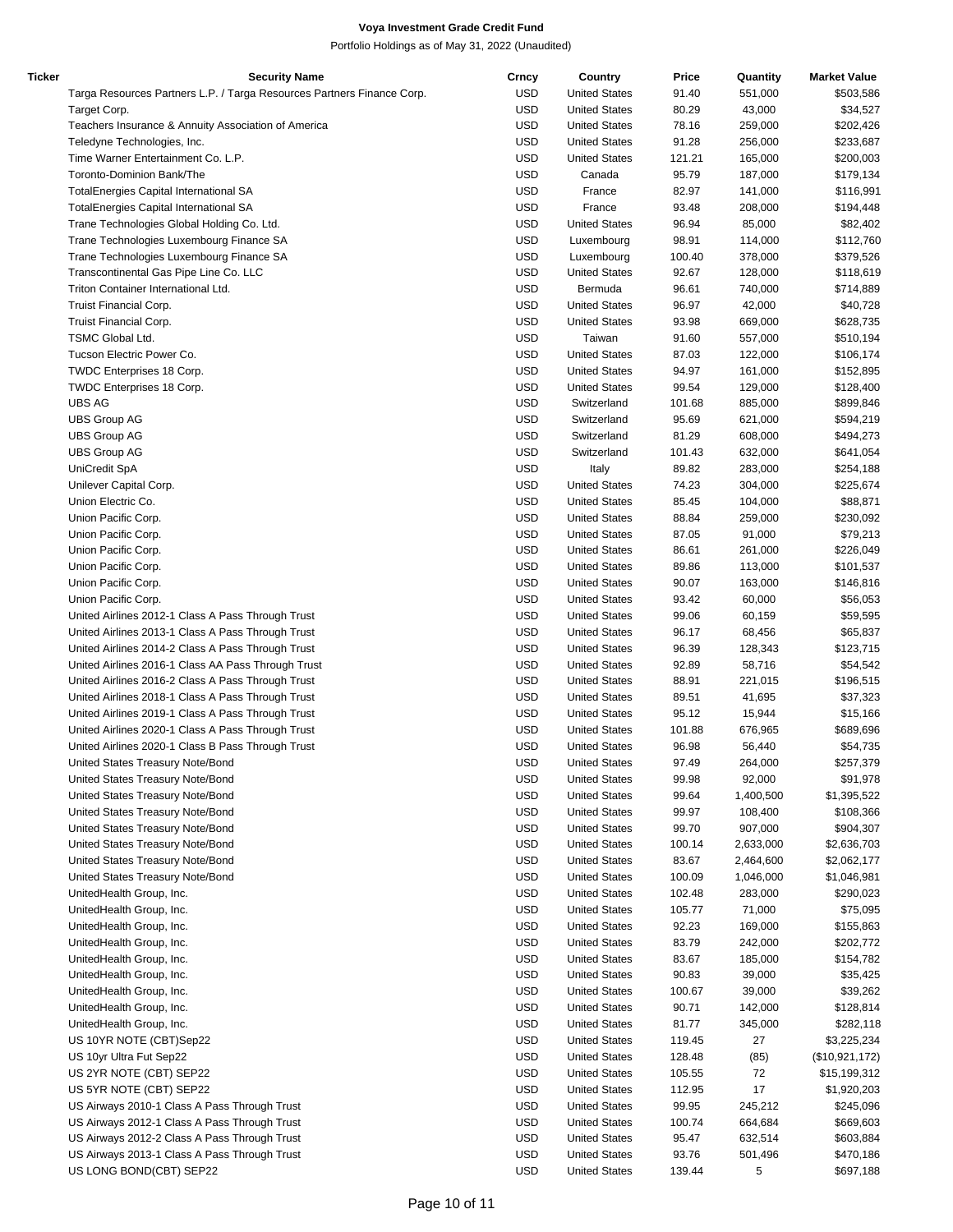| Ticker | <b>Security Name</b>                                                   | Crncy      | Country              | Price  | Quantity  | <b>Market Value</b> |
|--------|------------------------------------------------------------------------|------------|----------------------|--------|-----------|---------------------|
|        | Targa Resources Partners L.P. / Targa Resources Partners Finance Corp. | <b>USD</b> | <b>United States</b> | 91.40  | 551,000   | \$503,586           |
|        | Target Corp.                                                           | <b>USD</b> | <b>United States</b> | 80.29  | 43,000    | \$34,527            |
|        | Teachers Insurance & Annuity Association of America                    | <b>USD</b> | <b>United States</b> | 78.16  | 259,000   | \$202,426           |
|        | Teledyne Technologies, Inc.                                            | <b>USD</b> | <b>United States</b> | 91.28  | 256,000   | \$233,687           |
|        |                                                                        |            |                      |        |           |                     |
|        | Time Warner Entertainment Co. L.P.                                     | <b>USD</b> | <b>United States</b> | 121.21 | 165,000   | \$200,003           |
|        | Toronto-Dominion Bank/The                                              | <b>USD</b> | Canada               | 95.79  | 187,000   | \$179,134           |
|        | TotalEnergies Capital International SA                                 | <b>USD</b> | France               | 82.97  | 141,000   | \$116,991           |
|        | TotalEnergies Capital International SA                                 | <b>USD</b> | France               | 93.48  | 208,000   | \$194,448           |
|        | Trane Technologies Global Holding Co. Ltd.                             | <b>USD</b> | <b>United States</b> | 96.94  | 85,000    | \$82,402            |
|        | Trane Technologies Luxembourg Finance SA                               | <b>USD</b> | Luxembourg           | 98.91  | 114,000   | \$112,760           |
|        | Trane Technologies Luxembourg Finance SA                               | <b>USD</b> | Luxembourg           | 100.40 | 378,000   | \$379,526           |
|        |                                                                        |            | <b>United States</b> |        |           |                     |
|        | Transcontinental Gas Pipe Line Co. LLC                                 | <b>USD</b> |                      | 92.67  | 128,000   | \$118,619           |
|        | Triton Container International Ltd.                                    | <b>USD</b> | Bermuda              | 96.61  | 740,000   | \$714,889           |
|        | Truist Financial Corp.                                                 | <b>USD</b> | <b>United States</b> | 96.97  | 42,000    | \$40,728            |
|        | Truist Financial Corp.                                                 | <b>USD</b> | <b>United States</b> | 93.98  | 669,000   | \$628,735           |
|        | TSMC Global Ltd.                                                       | <b>USD</b> | Taiwan               | 91.60  | 557,000   | \$510,194           |
|        | Tucson Electric Power Co.                                              | <b>USD</b> | <b>United States</b> | 87.03  | 122,000   | \$106,174           |
|        | TWDC Enterprises 18 Corp.                                              | <b>USD</b> | <b>United States</b> | 94.97  | 161,000   | \$152,895           |
|        |                                                                        |            | <b>United States</b> |        |           |                     |
|        | TWDC Enterprises 18 Corp.                                              | <b>USD</b> |                      | 99.54  | 129,000   | \$128,400           |
|        | <b>UBS AG</b>                                                          | <b>USD</b> | Switzerland          | 101.68 | 885,000   | \$899,846           |
|        | <b>UBS Group AG</b>                                                    | <b>USD</b> | Switzerland          | 95.69  | 621,000   | \$594,219           |
|        | UBS Group AG                                                           | <b>USD</b> | Switzerland          | 81.29  | 608,000   | \$494,273           |
|        | <b>UBS Group AG</b>                                                    | <b>USD</b> | Switzerland          | 101.43 | 632,000   | \$641,054           |
|        | UniCredit SpA                                                          | <b>USD</b> | Italy                | 89.82  | 283,000   | \$254,188           |
|        |                                                                        |            |                      |        |           |                     |
|        | Unilever Capital Corp.                                                 | <b>USD</b> | <b>United States</b> | 74.23  | 304,000   | \$225,674           |
|        | Union Electric Co.                                                     | <b>USD</b> | <b>United States</b> | 85.45  | 104,000   | \$88,871            |
|        | Union Pacific Corp.                                                    | <b>USD</b> | <b>United States</b> | 88.84  | 259,000   | \$230,092           |
|        | Union Pacific Corp.                                                    | <b>USD</b> | <b>United States</b> | 87.05  | 91,000    | \$79,213            |
|        | Union Pacific Corp.                                                    | <b>USD</b> | <b>United States</b> | 86.61  | 261,000   | \$226,049           |
|        | Union Pacific Corp.                                                    | <b>USD</b> | <b>United States</b> | 89.86  | 113,000   | \$101,537           |
|        |                                                                        | <b>USD</b> |                      | 90.07  |           |                     |
|        | Union Pacific Corp.                                                    |            | <b>United States</b> |        | 163,000   | \$146,816           |
|        | Union Pacific Corp.                                                    | <b>USD</b> | <b>United States</b> | 93.42  | 60,000    | \$56,053            |
|        | United Airlines 2012-1 Class A Pass Through Trust                      | <b>USD</b> | <b>United States</b> | 99.06  | 60,159    | \$59,595            |
|        | United Airlines 2013-1 Class A Pass Through Trust                      | <b>USD</b> | <b>United States</b> | 96.17  | 68,456    | \$65,837            |
|        | United Airlines 2014-2 Class A Pass Through Trust                      | <b>USD</b> | <b>United States</b> | 96.39  | 128,343   | \$123,715           |
|        | United Airlines 2016-1 Class AA Pass Through Trust                     | <b>USD</b> | <b>United States</b> | 92.89  | 58,716    | \$54,542            |
|        | United Airlines 2016-2 Class A Pass Through Trust                      | <b>USD</b> | <b>United States</b> | 88.91  | 221,015   | \$196,515           |
|        |                                                                        |            |                      |        |           |                     |
|        | United Airlines 2018-1 Class A Pass Through Trust                      | <b>USD</b> | <b>United States</b> | 89.51  | 41,695    | \$37,323            |
|        | United Airlines 2019-1 Class A Pass Through Trust                      | <b>USD</b> | <b>United States</b> | 95.12  | 15,944    | \$15,166            |
|        | United Airlines 2020-1 Class A Pass Through Trust                      | <b>USD</b> | <b>United States</b> | 101.88 | 676,965   | \$689,696           |
|        | United Airlines 2020-1 Class B Pass Through Trust                      | <b>USD</b> | <b>United States</b> | 96.98  | 56,440    | \$54,735            |
|        | United States Treasury Note/Bond                                       | <b>USD</b> | <b>United States</b> | 97.49  | 264,000   | \$257,379           |
|        | United States Treasury Note/Bond                                       | <b>USD</b> | <b>United States</b> | 99.98  | 92,000    | \$91,978            |
|        | United States Treasury Note/Bond                                       | <b>USD</b> | <b>United States</b> | 99.64  | 1,400,500 | \$1,395,522         |
|        |                                                                        |            |                      |        |           |                     |
|        | United States Treasury Note/Bond                                       | <b>USD</b> | <b>United States</b> | 99.97  | 108,400   | \$108,366           |
|        | United States Treasury Note/Bond                                       | <b>USD</b> | <b>United States</b> | 99.70  | 907,000   | \$904,307           |
|        | United States Treasury Note/Bond                                       | <b>USD</b> | <b>United States</b> | 100.14 | 2,633,000 | \$2,636,703         |
|        | United States Treasury Note/Bond                                       | <b>USD</b> | <b>United States</b> | 83.67  | 2,464,600 | \$2,062,177         |
|        | United States Treasury Note/Bond                                       | <b>USD</b> | <b>United States</b> | 100.09 | 1,046,000 | \$1,046,981         |
|        | UnitedHealth Group, Inc.                                               | <b>USD</b> | <b>United States</b> | 102.48 | 283,000   | \$290,023           |
|        |                                                                        |            |                      |        |           |                     |
|        | UnitedHealth Group, Inc.                                               | <b>USD</b> | <b>United States</b> | 105.77 | 71,000    | \$75,095            |
|        | UnitedHealth Group, Inc.                                               | <b>USD</b> | <b>United States</b> | 92.23  | 169,000   | \$155,863           |
|        | UnitedHealth Group, Inc.                                               | <b>USD</b> | <b>United States</b> | 83.79  | 242,000   | \$202,772           |
|        | UnitedHealth Group, Inc.                                               | <b>USD</b> | <b>United States</b> | 83.67  | 185,000   | \$154,782           |
|        | UnitedHealth Group, Inc.                                               | <b>USD</b> | <b>United States</b> | 90.83  | 39,000    | \$35,425            |
|        | UnitedHealth Group, Inc.                                               | <b>USD</b> | <b>United States</b> | 100.67 | 39,000    | \$39,262            |
|        |                                                                        |            |                      |        |           |                     |
|        | UnitedHealth Group, Inc.                                               | <b>USD</b> | <b>United States</b> | 90.71  | 142,000   | \$128,814           |
|        | UnitedHealth Group, Inc.                                               | <b>USD</b> | <b>United States</b> | 81.77  | 345,000   | \$282,118           |
|        | US 10YR NOTE (CBT)Sep22                                                | <b>USD</b> | <b>United States</b> | 119.45 | 27        | \$3,225,234         |
|        | US 10yr Ultra Fut Sep22                                                | <b>USD</b> | <b>United States</b> | 128.48 | (85)      | (\$10,921,172)      |
|        | US 2YR NOTE (CBT) SEP22                                                | <b>USD</b> | <b>United States</b> | 105.55 | 72        | \$15,199,312        |
|        | US 5YR NOTE (CBT) SEP22                                                | <b>USD</b> | <b>United States</b> | 112.95 | 17        | \$1,920,203         |
|        |                                                                        |            |                      |        |           |                     |
|        | US Airways 2010-1 Class A Pass Through Trust                           | <b>USD</b> | <b>United States</b> | 99.95  | 245,212   | \$245,096           |
|        | US Airways 2012-1 Class A Pass Through Trust                           | <b>USD</b> | <b>United States</b> | 100.74 | 664,684   | \$669,603           |
|        | US Airways 2012-2 Class A Pass Through Trust                           | <b>USD</b> | <b>United States</b> | 95.47  | 632,514   | \$603,884           |
|        | US Airways 2013-1 Class A Pass Through Trust                           | <b>USD</b> | <b>United States</b> | 93.76  | 501,496   | \$470,186           |
|        | US LONG BOND(CBT) SEP22                                                | <b>USD</b> | <b>United States</b> | 139.44 | 5         | \$697,188           |